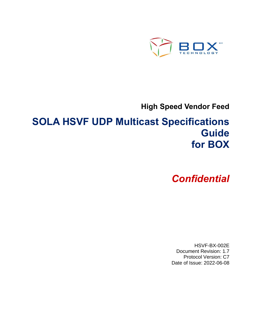

**High Speed Vendor Feed**

# **SOLA HSVF UDP Multicast Specifications Guide for BOX**

*Confidential*

HSVF-BX-002E Document Revision: 1.7 Protocol Version: C7 Date of Issue: 2022-06-08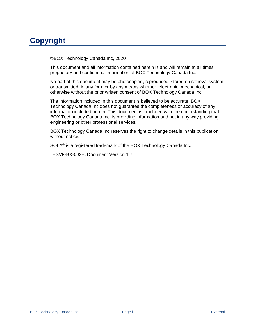# **Copyright**

©BOX Technology Canada Inc, 2020

This document and all information contained herein is and will remain at all times proprietary and confidential information of BOX Technology Canada Inc.

No part of this document may be photocopied, reproduced, stored on retrieval system, or transmitted, in any form or by any means whether, electronic, mechanical, or otherwise without the prior written consent of BOX Technology Canada Inc

The information included in this document is believed to be accurate. BOX Technology Canada Inc does not guarantee the completeness or accuracy of any information included herein. This document is produced with the understanding that BOX Technology Canada Inc. is providing information and not in any way providing engineering or other professional services.

BOX Technology Canada Inc reserves the right to change details in this publication without notice.

SOLA® is a registered trademark of the BOX Technology Canada Inc.

HSVF-BX-002E, Document Version 1.7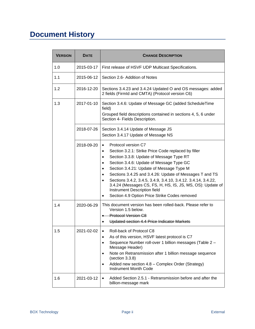# **Document History**

| <b>VERSION</b> | <b>DATE</b> | <b>CHANGE DESCRIPTION</b>                                                                                                                                                                                                                                                                                                                                                                                                                                                                                                                                  |  |  |
|----------------|-------------|------------------------------------------------------------------------------------------------------------------------------------------------------------------------------------------------------------------------------------------------------------------------------------------------------------------------------------------------------------------------------------------------------------------------------------------------------------------------------------------------------------------------------------------------------------|--|--|
| 1.0            | 2015-03-17  | First release of HSVF UDP Multicast Specifications.                                                                                                                                                                                                                                                                                                                                                                                                                                                                                                        |  |  |
| 1.1            | 2015-06-12  | Section 2.6- Addition of Notes                                                                                                                                                                                                                                                                                                                                                                                                                                                                                                                             |  |  |
| 1.2            | 2016-12-20  | Sections 3.4.23 and 3.4.24 Updated O and OS messages: added<br>2 fields (FirmId and CMTA) (Protocol version C6)                                                                                                                                                                                                                                                                                                                                                                                                                                            |  |  |
| 1.3            | 2017-01-10  | Section 3.4.6: Update of Message GC (added ScheduleTime<br>field)<br>Grouped field descriptions contained in sections 4, 5, 6 under<br>Section 4- Fields Description.                                                                                                                                                                                                                                                                                                                                                                                      |  |  |
|                | 2018-07-26  | Section 3.4.14 Update of Message JS<br>Section 3.4.17 Update of Message NS                                                                                                                                                                                                                                                                                                                                                                                                                                                                                 |  |  |
|                | 2018-09-20  | Protocol version C7<br>Section 3.2.1: Strike Price Code replaced by filler<br>$\bullet$<br>Section 3.3.8: Update of Message Type RT<br>$\bullet$<br>Section 3.4.6: Update of Message Type GC<br>$\bullet$<br>Section 3.4.21: Update of Message Type M<br>$\bullet$<br>Sections 3.4.25 and 3.4.26: Update of Messages T and TS<br>Sections 3.4.2, 3.4.5, 3.4.9, 3.4.10, 3.4.12. 3.4.14, 3.4.22,<br>$\bullet$<br>3.4.24 (Messages CS, FS, H, HS, IS, JS, MS, OS): Update of<br>Instrument Description field<br>Section 4.9 Option Price Strike Codes removed |  |  |
| 1.4            | 2020-06-29  | This document version has been rolled-back. Please refer to<br>Version 1.5 below.<br><b>Protocol Version C8</b><br>Updated section 4.4 Price Indicator Markets                                                                                                                                                                                                                                                                                                                                                                                             |  |  |
| 1.5            | 2021-02-02  | Roll-back of Protocol C8<br>$\bullet$<br>As of this version, HSVF latest protocol is C7<br>Sequence Number roll-over 1 billion messages (Table 2 -<br>Message Header)<br>Note on Retransmission after 1 billion message sequence<br>(section 3.3.8)<br>Added new section 4.8 - Complex Order (Strategy)<br><b>Instrument Month Code</b>                                                                                                                                                                                                                    |  |  |
| 1.6            | 2021-03-12  | Added Section 2.5.1 - Retransmission before and after the<br>$\bullet$<br>billion-message mark                                                                                                                                                                                                                                                                                                                                                                                                                                                             |  |  |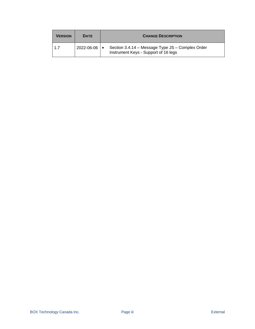| <b>VERSION</b> | <b>DATE</b>      | <b>CHANGE DESCRIPTION</b>                                                                |
|----------------|------------------|------------------------------------------------------------------------------------------|
| 1.7            | $2022 - 06 - 06$ | Section 3.4.14 - Message Type JS - Complex Order<br>Instrument Keys - Support of 16 legs |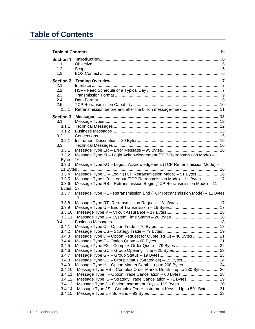# <span id="page-5-0"></span>**Table of Contents**

| <b>Section 1</b> |                                                                             |  |
|------------------|-----------------------------------------------------------------------------|--|
| 1.1              |                                                                             |  |
| 1.2              |                                                                             |  |
| 1.3              |                                                                             |  |
| <b>Section 2</b> |                                                                             |  |
| 2.1              |                                                                             |  |
| 2.2              |                                                                             |  |
| 2.3              |                                                                             |  |
| 2.4              |                                                                             |  |
| 2.5              |                                                                             |  |
| 2.5.1            | Retransmission before and after the billion message-mark  11                |  |
| <b>Section 3</b> |                                                                             |  |
| 3.1              |                                                                             |  |
| 3.1.1            |                                                                             |  |
| 3.1.2            |                                                                             |  |
| 3.2              |                                                                             |  |
| 3.2.1            |                                                                             |  |
| 3.3              |                                                                             |  |
| 3.3.1            |                                                                             |  |
| 3.3.2            | Message Type KI - Login Acknowledgement (TCP Retransmission Mode) - 11      |  |
| <b>Bytes</b>     | 16                                                                          |  |
| 3.3.3            | Message Type KO - Logout Acknowledgement (TCP Retransmission Mode) -        |  |
| 3.3.4            | 11 Bytes<br>Message Type LI - Login (TCP Retransmission Mode) - 51 Bytes 16 |  |
| 3.3.5            | Message Type LO - Logout (TCP Retransmission Mode) - 11 Bytes 17            |  |
| 3.3.6            | Message Type RB - Retransmission Begin (TCP Retransmission Mode) - 11       |  |
| <b>Bytes</b>     | 17                                                                          |  |
| 3.3.7            | Message Type RE - Retransmission End (TCP Retransmission Mode) - 11 Bytes   |  |
|                  | 17                                                                          |  |
| 3.3.8            |                                                                             |  |
| 3.3.9            |                                                                             |  |
| 3.3.10           |                                                                             |  |
| 3.3.11           |                                                                             |  |
| 3.4              |                                                                             |  |
| 3.4.1            |                                                                             |  |
| 3.4.2            |                                                                             |  |
| 3.4.3            | Message Type D - Option Request for Quote (RFQ) - 40 Bytes 21               |  |
| 3.4.4            |                                                                             |  |
| 3.4.5            |                                                                             |  |
| 3.4.6            |                                                                             |  |
| 3.4.7            |                                                                             |  |
| 3.4.8            |                                                                             |  |
| 3.4.9<br>3.4.10  |                                                                             |  |
| 3.4.11           | Message Type HS - Complex Order Market Depth - up to 230 Bytes  26          |  |
| 3.4.12           |                                                                             |  |
| 3.4.13           | Message Type J - Option Instrument Keys - 119 Bytes30                       |  |
| 3.4.14           | Message Type JS - Complex Order Instrument Keys - Up to 591 Bytes31         |  |
| 3.4.15           |                                                                             |  |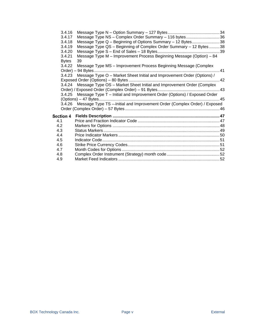| 3.4.16       |                                                                                   |  |
|--------------|-----------------------------------------------------------------------------------|--|
| 3.4.17       | Message Type NS - Complex Order Summary - 116 bytes36                             |  |
| 3.4.18       | Message Type Q - Beginning of Options Summary - 12 Bytes38                        |  |
| 3.4.19       | Message Type QS - Beginning of Complex Order Summary - 12 Bytes 38                |  |
| 3.4.20       |                                                                                   |  |
| 3.4.21       | Message Type M - Improvement Process Beginning Message (Option) - 84              |  |
| <b>Bytes</b> | 39                                                                                |  |
| 3.4.22       | Message Type MS - Improvement Process Beginning Message (Complex                  |  |
|              | Order) - 94 Bytes.                                                                |  |
|              | 3.4.23 Message Type O - Market Sheet Initial and Improvement Order (Options) /    |  |
|              |                                                                                   |  |
|              | 3.4.24 Message Type OS - Market Sheet Initial and Improvement Order (Complex      |  |
|              |                                                                                   |  |
|              | 3.4.25 Message Type T - Initial and Improvement Order (Options) / Exposed Order   |  |
|              |                                                                                   |  |
|              | 3.4.26 Message Type TS -- Initial and Improvement Order (Complex Order) / Exposed |  |
|              |                                                                                   |  |
|              |                                                                                   |  |
| 4.1          |                                                                                   |  |
| 4.2          |                                                                                   |  |
| 4.3          |                                                                                   |  |
| 4.4          |                                                                                   |  |
|              |                                                                                   |  |
| 4.5          |                                                                                   |  |
| 4.6          |                                                                                   |  |
| 4.7          |                                                                                   |  |
| 4.8          |                                                                                   |  |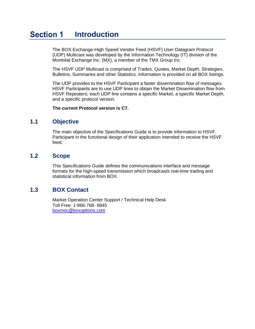#### <span id="page-7-0"></span>**Section 1 Introduction**

The BOX Exchange-High Speed Vendor Feed (HSVF) User Datagram Protocol (UDP) Multicast was developed by the Information Technology (IT) division of the Montréal Exchange Inc. (MX), a member of the TMX Group Inc.

The HSVF UDP Multicast is comprised of Trades, Quotes, Market Depth, Strategies, Bulletins, Summaries and other Statistics. Information is provided on all BOX listings.

The UDP provides to the HSVF Participant a faster dissemination flow of messages. HSVF Participants are to use UDP lines to obtain the Market Dissemination flow from HSVF Repeaters; each UDP line contains a specific Market, a specific Market Depth, and a specific protocol version.

**The current Protocol version is C7.**

### <span id="page-7-1"></span>**1.1 Objective**

The main objective of the Specifications Guide is to provide information to HSVF Participant in the functional design of their application intended to receive the HSVF feed.

### <span id="page-7-2"></span>**1.2 Scope**

This Specifications Guide defines the communications interface and message formats for the high-speed transmission which broadcasts real-time trading and statistical information from BOX.

### <span id="page-7-3"></span>**1.3 BOX Contact**

Market Operation Center Support / Technical Help Desk Toll Free: 1-866-768- 8845 [boxmoc@boxoptions.com](mailto:boxmoc@boxoptions.com)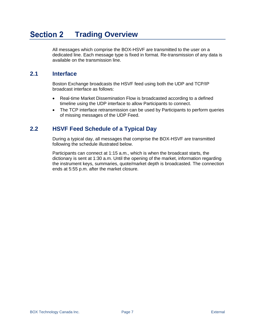#### <span id="page-8-0"></span>**Section 2 Trading Overview**

All messages which comprise the BOX-HSVF are transmitted to the user on a dedicated line. Each message type is fixed in format. Re-transmission of any data is available on the transmission line.

## <span id="page-8-1"></span>**2.1 Interface**

Boston Exchange broadcasts the HSVF feed using both the UDP and TCP/IP broadcast interface as follows:

- Real-time Market Dissemination Flow is broadcasted according to a defined timeline using the UDP interface to allow Participants to connect.
- The TCP interface retransmission can be used by Participants to perform queries of missing messages of the UDP Feed.

## <span id="page-8-2"></span>**2.2 HSVF Feed Schedule of a Typical Day**

During a typical day, all messages that comprise the BOX-HSVF are transmitted following the schedule illustrated below.

Participants can connect at 1:15 a.m., which is when the broadcast starts, the dictionary is sent at 1:30 a.m. Until the opening of the market, information regarding the instrument keys, summaries, quote/market depth is broadcasted. The connection ends at 5:55 p.m. after the market closure.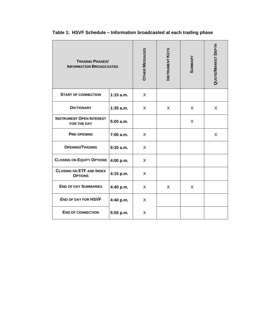| <b>TRADING PHASES/</b><br><b>INFORMATION BROADCASTED</b> | <b>OTHER MESSAGES</b> | <b>INSTRUMENT KEYS</b> | <b>SUMMARY</b> | QUOTE/MARKET DEPTH |   |
|----------------------------------------------------------|-----------------------|------------------------|----------------|--------------------|---|
| <b>START OF CONNECTION</b>                               | $1:15$ a.m.           | X                      |                |                    |   |
| <b>DICTIONARY</b>                                        | $1:35$ a.m.           | X                      | X              | X                  | X |
| <b>INSTRUMENT OPEN INTEREST</b><br>FOR THE DAY           | 5:00 a.m.             |                        |                | X                  |   |
| <b>PRE-OPENING</b>                                       | 7:00 a.m.             | X                      |                |                    | X |
| <b>OPENING/TRADING</b>                                   | 9:30a.m.              | X                      |                |                    |   |
| <b>CLOSING ON EQUITY OPTIONS</b>                         | 4:00 p.m.             | X                      |                |                    |   |
| <b>CLOSING ON ETF AND INDEX</b><br><b>OPTIONS</b>        | 4:15 p.m.             | X                      |                |                    |   |
| <b>END OF DAY SUMMARIES</b>                              | 4:40 p.m.             | X                      | X              | X                  |   |
| <b>END OF DAY FOR HSVF</b>                               | 4:40 p.m.             | X                      |                |                    |   |
| <b>END OF CONNECTION</b>                                 | 5:55 p.m.             | X                      |                |                    |   |

# **Table 1: HSVF Schedule – Information broadcasted at each trading phase**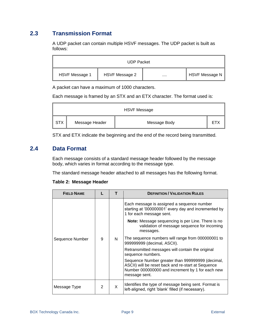# <span id="page-10-0"></span>**2.3 Transmission Format**

A UDP packet can contain multiple HSVF messages. The UDP packet is built as follows:

| <b>UDP Packet</b> |                |  |                |  |  |
|-------------------|----------------|--|----------------|--|--|
| HSVF Message 1    | HSVF Message 2 |  | HSVF Message N |  |  |

A packet can have a maximum of 1000 characters.

Each message is framed by an STX and an ETX character. The format used is:

| <b>HSVF Message</b> |                |              |            |  |  |
|---------------------|----------------|--------------|------------|--|--|
| I STX               | Message Header | Message Body | <b>ETX</b> |  |  |

STX and ETX indicate the beginning and the end of the record being transmitted.

### <span id="page-10-1"></span>**2.4 Data Format**

Each message consists of a standard message header followed by the message body, which varies in format according to the message type.

The standard message header attached to all messages has the following format.

<span id="page-10-2"></span>

|  | Table 2: Message Header |  |
|--|-------------------------|--|
|--|-------------------------|--|

| <b>FIELD NAME</b> |               | т | <b>DEFINITION / VALIDATION RULES</b>                                                                                                                                        |
|-------------------|---------------|---|-----------------------------------------------------------------------------------------------------------------------------------------------------------------------------|
|                   | 9             | N | Each message is assigned a sequence number<br>starting at '000000001' every day and incremented by<br>1 for each message sent.                                              |
|                   |               |   | Note: Message sequencing is per Line. There is no<br>validation of message sequence for incoming<br>messages.                                                               |
| Sequence Number   |               |   | The sequence numbers will range from 000000001 to<br>999999999 (decimal, ASCII).                                                                                            |
|                   |               |   | Retransmitted messages will contain the original<br>sequence numbers.                                                                                                       |
|                   |               |   | Sequence Number greater than 999999999 (decimal,<br>ASCII) will be reset back and re-start at Sequence<br>Number 000000000 and increment by 1 for each new<br>message sent. |
| Message Type      | $\mathcal{P}$ | X | Identifies the type of message being sent. Format is<br>left-aligned, right 'blank' filled (if necessary).                                                                  |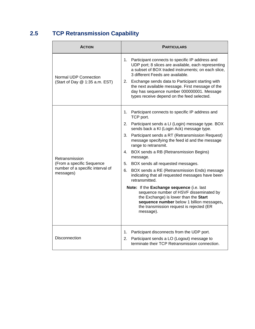# <span id="page-11-0"></span>**2.5 TCP Retransmission Capability**

| <b>ACTION</b>                                           | <b>PARTICULARS</b>                                                                                                                                                                                                                                                                                                                                                                                            |  |  |
|---------------------------------------------------------|---------------------------------------------------------------------------------------------------------------------------------------------------------------------------------------------------------------------------------------------------------------------------------------------------------------------------------------------------------------------------------------------------------------|--|--|
| Normal UDP Connection<br>(Start of Day @ 1:35 a.m. EST) | Participant connects to specific IP address and<br>1.<br>UDP port; 8 slices are available, each representing<br>a subset of BOX traded instruments; on each slice,<br>3 different Feeds are available.<br>2. Exchange sends data to Participant starting with<br>the next available message. First message of the<br>day has sequence number 000000001. Message<br>types receive depend on the feed selected. |  |  |
|                                                         | 1. Participant connects to specific IP address and<br>TCP port.                                                                                                                                                                                                                                                                                                                                               |  |  |
|                                                         | Participant sends a LI (Login) message type. BOX<br>2.<br>sends back a KI (Login Ack) message type.                                                                                                                                                                                                                                                                                                           |  |  |
|                                                         | Participant sends a RT (Retransmission Request)<br>3.<br>message specifying the feed id and the message<br>range to retransmit.                                                                                                                                                                                                                                                                               |  |  |
| Retransmission                                          | BOX sends a RB (Retransmission Begins)<br>4.<br>message.                                                                                                                                                                                                                                                                                                                                                      |  |  |
| (From a specific Sequence                               | BOX sends all requested messages.<br>5.                                                                                                                                                                                                                                                                                                                                                                       |  |  |
| number of a specific interval of<br>messages)           | BOX sends a RE (Retransmission Ends) message<br>6.<br>indicating that all requested messages have been<br>retransmitted.                                                                                                                                                                                                                                                                                      |  |  |
|                                                         | Note: If the Exchange sequence (i.e. last<br>sequence number of HSVF disseminated by<br>the Exchange) is lower than the Start<br>sequence number below 1 billion messages,<br>the transmission request is rejected (ER<br>message).                                                                                                                                                                           |  |  |
| Disconnection                                           | Participant disconnects from the UDP port.<br>1.<br>2.<br>Participant sends a LO (Logout) message to<br>terminate their TCP Retransmission connection.                                                                                                                                                                                                                                                        |  |  |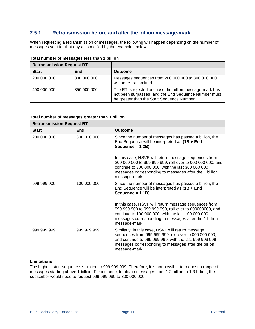### <span id="page-12-0"></span>**2.5.1 Retransmission before and after the billion message-mark**

When requesting a retransmission of messages, the following will happen depending on the number of messages sent for that day as specified by the examples below:

| <b>Retransmission Request RT</b> |             |                                                                                                                                                              |
|----------------------------------|-------------|--------------------------------------------------------------------------------------------------------------------------------------------------------------|
| <b>Start</b>                     | End         | Outcome                                                                                                                                                      |
| 200 000 000                      | 300 000 000 | Messages sequences from 200 000 000 to 300 000 000<br>will be re-transmitted                                                                                 |
| 400 000 000                      | 350 000 000 | The RT is rejected because the billion message-mark has<br>not been surpassed, and the End Sequence Number must<br>be greater than the Start Sequence Number |

**Total number of messages less than 1 billion**

#### **Total number of messages greater than 1 billion**

| <b>Retransmission Request RT</b> |             |                                                                                                                                                                                                                                                    |
|----------------------------------|-------------|----------------------------------------------------------------------------------------------------------------------------------------------------------------------------------------------------------------------------------------------------|
| <b>Start</b>                     | End         | Outcome                                                                                                                                                                                                                                            |
| 200 000 000                      | 300 000 000 | Since the number of messages has passed a billion, the<br>End Sequence will be interpreted as (1B + End<br>Sequence = 1.3B)                                                                                                                        |
|                                  |             | In this case, HSVF will return message sequences from<br>200 000 000 to 999 999 999, roll-over to 000 000 000, and<br>continue to 300 000 000, with the last 300 000 000<br>messages corresponding to messages after the 1 billion<br>message-mark |
| 999 999 900                      | 100 000 000 | Since the number of messages has passed a billion, the<br>End Sequence will be interpreted as $(1B + End)$<br>Sequence = $1.1B$ )                                                                                                                  |
|                                  |             | In this case, HSVF will return message sequences from<br>999 999 900 to 999 999 999, roll-over to 000000000, and<br>continue to 100 000 000, with the last 100 000 000<br>messages corresponding to messages after the 1 billion<br>message-mark   |
| 999 999 999                      | 999 999 999 | Similarly, in this case, HSVF will return message<br>sequences from 999 999 999, roll-over to 000 000 000,<br>and continue to 999 999 999, with the last 999 999 999<br>messages corresponding to messages after the billion<br>message-mark       |

#### **Limitations**

The highest start sequence is limited to 999 999 999. Therefore, it is not possible to request a range of messages starting above 1 billion. For instance, to obtain messages from 1.2 billion to 1.3 billion, the subscriber would need to request 999 999 999 to 300 000 000.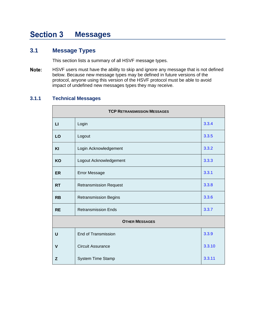#### <span id="page-13-0"></span>**Section 3 Messages**

## <span id="page-13-1"></span>**3.1 Message Types**

This section lists a summary of all HSVF message types.

Note: HSVF users must have the ability to skip and ignore any message that is not defined below. Because new message types may be defined in future versions of the protocol, anyone using this version of the HSVF protocol must be able to avoid impact of undefined new messages types they may receive.

### <span id="page-13-2"></span>**3.1.1 Technical Messages**

| <b>TCP RETRANSMISSION MESSAGES</b> |                                       |        |  |  |  |  |
|------------------------------------|---------------------------------------|--------|--|--|--|--|
| $\mathbf{L}$                       | 3.3.4<br>Login                        |        |  |  |  |  |
| LO                                 | Logout                                | 3.3.5  |  |  |  |  |
| KI                                 | Login Acknowledgement                 | 3.3.2  |  |  |  |  |
| KO                                 | Logout Acknowledgement                | 3.3.3  |  |  |  |  |
| ER                                 | 3.3.1<br><b>Error Message</b>         |        |  |  |  |  |
| <b>RT</b>                          | <b>Retransmission Request</b>         |        |  |  |  |  |
| <b>RB</b>                          | 3.3.6<br><b>Retransmission Begins</b> |        |  |  |  |  |
| <b>RE</b>                          | 3.3.7<br><b>Retransmission Ends</b>   |        |  |  |  |  |
|                                    | <b>OTHER MESSAGES</b>                 |        |  |  |  |  |
| U                                  | <b>End of Transmission</b>            | 3.3.9  |  |  |  |  |
| $\mathsf{V}$                       | <b>Circuit Assurance</b>              | 3.3.10 |  |  |  |  |
| Z                                  | System Time Stamp                     | 3.3.11 |  |  |  |  |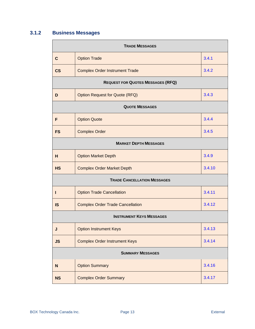# <span id="page-14-0"></span>**3.1.2 Business Messages**

| <b>TRADE MESSAGES</b> |                                                   |        |  |  |  |  |  |
|-----------------------|---------------------------------------------------|--------|--|--|--|--|--|
| $\mathbf{C}$          | 3.4.1<br><b>Option Trade</b>                      |        |  |  |  |  |  |
| <b>CS</b>             | <b>Complex Order Instrument Trade</b>             | 3.4.2  |  |  |  |  |  |
|                       | <b>REQUEST FOR QUOTES MESSAGES (RFQ)</b>          |        |  |  |  |  |  |
| D                     | <b>Option Request for Quote (RFQ)</b>             | 3.4.3  |  |  |  |  |  |
|                       | <b>QUOTE MESSAGES</b>                             |        |  |  |  |  |  |
| F                     | <b>Option Quote</b>                               | 3.4.4  |  |  |  |  |  |
| <b>FS</b>             | <b>Complex Order</b>                              | 3.4.5  |  |  |  |  |  |
|                       | <b>MARKET DEPTH MESSAGES</b>                      |        |  |  |  |  |  |
| н                     | 3.4.9<br><b>Option Market Depth</b>               |        |  |  |  |  |  |
| <b>HS</b>             | <b>Complex Order Market Depth</b>                 | 3.4.10 |  |  |  |  |  |
|                       | <b>TRADE CANCELLATION MESSAGES</b>                |        |  |  |  |  |  |
| н                     | <b>Option Trade Cancellation</b>                  | 3.4.11 |  |  |  |  |  |
| <b>IS</b>             | 3.4.12<br><b>Complex Order Trade Cancellation</b> |        |  |  |  |  |  |
|                       | <b>INSTRUMENT KEYS MESSAGES</b>                   |        |  |  |  |  |  |
| J                     | <b>Option Instrument Keys</b>                     | 3.4.13 |  |  |  |  |  |
| <b>JS</b>             | <b>Complex Order Instrument Keys</b><br>3.4.14    |        |  |  |  |  |  |
|                       | <b>SUMMARY MESSAGES</b>                           |        |  |  |  |  |  |
| N                     | <b>Option Summary</b>                             | 3.4.16 |  |  |  |  |  |
| <b>NS</b>             | 3.4.17<br><b>Complex Order Summary</b>            |        |  |  |  |  |  |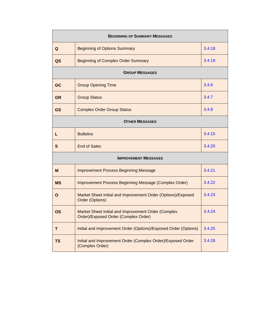| <b>BEGINNING OF SUMMARY MESSAGES</b> |                                                                                             |        |  |  |  |  |
|--------------------------------------|---------------------------------------------------------------------------------------------|--------|--|--|--|--|
| Q                                    | <b>Beginning of Options Summary</b>                                                         | 3.4.18 |  |  |  |  |
| QS                                   | <b>Beginning of Complex Order Summary</b>                                                   | 3.4.19 |  |  |  |  |
|                                      | <b>GROUP MESSAGES</b>                                                                       |        |  |  |  |  |
| GC                                   | <b>Group Opening Time</b>                                                                   | 3.4.6  |  |  |  |  |
| <b>GR</b>                            | <b>Group Status</b>                                                                         | 3.4.7  |  |  |  |  |
| <b>GS</b>                            | <b>Complex Order Group Status</b>                                                           | 3.4.8  |  |  |  |  |
| <b>OTHER MESSAGES</b>                |                                                                                             |        |  |  |  |  |
| L                                    | <b>Bulletins</b>                                                                            | 3.4.15 |  |  |  |  |
| $\mathbf{s}$                         | <b>End of Sales</b>                                                                         | 3.4.20 |  |  |  |  |
|                                      | <b>IMPROVEMENT MESSAGES</b>                                                                 |        |  |  |  |  |
| M                                    | <b>Improvement Process Beginning Message</b>                                                | 3.4.21 |  |  |  |  |
| <b>MS</b>                            | <b>Improvement Process Beginning Message (Complex Order)</b>                                | 3.4.22 |  |  |  |  |
| O                                    | Market Sheet Initial and Improvement Order (Options)/Exposed<br>Order (Options)             | 3.4.23 |  |  |  |  |
| <b>OS</b>                            | Market Sheet Initial and Improvement Order (Complex<br>Order)/Exposed Order (Complex Order) | 3.4.24 |  |  |  |  |
| T                                    | Initial and Improvement Order (Options)/Exposed Order (Options)                             | 3.4.25 |  |  |  |  |
| <b>TS</b>                            | Initial and Improvement Order (Complex Order)/Exposed Order<br>(Complex Order)              | 3.4.26 |  |  |  |  |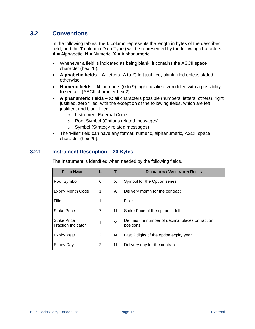## <span id="page-16-0"></span>**3.2 Conventions**

In the following tables, the **L** column represents the length in bytes of the described field, and the **T** column ('Data Type') will be represented by the following characters:  $A =$  Alphabetic,  $N =$  Numeric,  $X =$  Alphanumeric.

- Whenever a field is indicated as being blank, it contains the ASCII space character (hex 20).
- **Alphabetic fields – A**: letters (A to Z) left justified, blank filled unless stated otherwise.
- **Numeric fields – N**: numbers (0 to 9), right justified, zero filled with a possibility to see a '.' (ASCII character hex 2).
- **Alphanumeric fields – X**: all characters possible (numbers, letters, others), right justified, zero filled, with the exception of the following fields, which are left justified, and blank filled:
	- o Instrument External Code
	- o Root Symbol (Options related messages)
	- o Symbol (Strategy related messages)
- The 'Filler' field can have any format; numeric, alphanumeric, ASCII space character (hex 20).

### <span id="page-16-1"></span>**3.2.1 Instrument Description – 20 Bytes**

The Instrument is identified when needed by the following fields.

| <b>FIELD NAME</b>                                |   |   | <b>DEFINITION / VALIDATION RULES</b>                          |
|--------------------------------------------------|---|---|---------------------------------------------------------------|
| Root Symbol                                      | 6 | X | Symbol for the Option series                                  |
| <b>Expiry Month Code</b>                         | 1 | A | Delivery month for the contract                               |
| Filler                                           | 1 |   | Filler                                                        |
| <b>Strike Price</b>                              | 7 | N | Strike Price of the option in full                            |
| <b>Strike Price</b><br><b>Fraction Indicator</b> | 1 | X | Defines the number of decimal places or fraction<br>positions |
| Expiry Year                                      | 2 | N | Last 2 digits of the option expiry year                       |
| Expiry Day                                       | 2 | N | Delivery day for the contract                                 |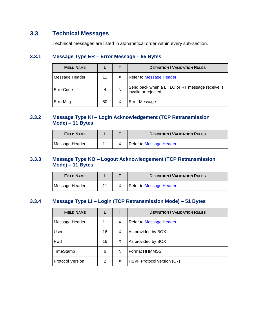# <span id="page-17-0"></span>**3.3 Technical Messages**

Technical messages are listed in alphabetical order within every sub-section.

### <span id="page-17-1"></span>**3.3.1 Message Type ER – Error Message – 95 Bytes**

| <b>FIELD NAME</b> |    |   | <b>DEFINITION / VALIDATION RULES</b>                                    |
|-------------------|----|---|-------------------------------------------------------------------------|
| Message Header    | 11 |   | <b>Refer to Message Header</b>                                          |
| ErrorCode         | 4  | N | Send back when a LI, LO or RT message receive is<br>invalid or rejected |
| ErrorMsg          | 80 |   | Error Message                                                           |

### <span id="page-17-2"></span>**3.3.2 Message Type KI – Login Acknowledgement (TCP Retransmission Mode) – 11 Bytes**

| <b>FIELD NAME</b> |  | <b>DEFINITION / VALIDATION RULES</b> |
|-------------------|--|--------------------------------------|
| Message Header    |  | Refer to Message Header              |

### <span id="page-17-3"></span>**3.3.3 Message Type KO – Logout Acknowledgement (TCP Retransmission Mode) – 11 Bytes**

| <b>FIELD NAME</b> |  | <b>DEFINITION / VALIDATION RULES</b> |
|-------------------|--|--------------------------------------|
| Message Header    |  | Refer to Message Header              |

### <span id="page-17-4"></span>**3.3.4 Message Type LI – Login (TCP Retransmission Mode) – 51 Bytes**

| <b>FIELD NAME</b>       |    |   | <b>DEFINITION / VALIDATION RULES</b> |
|-------------------------|----|---|--------------------------------------|
| Message Header          | 11 | X | Refer to Message Header              |
| User                    | 16 | X | As provided by BOX                   |
| Pwd                     | 16 | X | As provided by BOX                   |
| TimeStamp               | 6  | N | <b>Format HHMMSS</b>                 |
| <b>Protocol Version</b> | 2  | X | HSVF Protocol version (C7)           |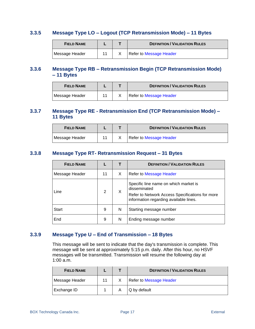### <span id="page-18-0"></span>**3.3.5 Message Type LO – Logout (TCP Retransmission Mode) – 11 Bytes**

| <b>FIELD NAME</b> |  | <b>DEFINITION / VALIDATION RULES</b> |
|-------------------|--|--------------------------------------|
| Message Header    |  | Refer to Message Header              |

### <span id="page-18-1"></span>**3.3.6 Message Type RB – Retransmission Begin (TCP Retransmission Mode) – 11 Bytes**

| <b>FIELD NAME</b> |  | <b>DEFINITION / VALIDATION RULES</b> |
|-------------------|--|--------------------------------------|
| Message Header    |  | Refer to Message Header              |

### <span id="page-18-2"></span>**3.3.7 Message Type RE - Retransmission End (TCP Retransmission Mode) – 11 Bytes**

| <b>FIELD NAME</b> |  | <b>DEFINITION / VALIDATION RULES</b> |
|-------------------|--|--------------------------------------|
| Message Header    |  | Refer to Message Header              |

### <span id="page-18-3"></span>**3.3.8 Message Type RT- Retransmission Request – 31 Bytes**

| <b>FIELD NAME</b> |                |    | <b>DEFINITION / VALIDATION RULES</b>                                                                                                               |
|-------------------|----------------|----|----------------------------------------------------------------------------------------------------------------------------------------------------|
| Message Header    | 11             | X. | Refer to Message Header                                                                                                                            |
| Line              | $\overline{2}$ | X  | Specific line name on which market is<br>disseminated<br>Refer to Network Access Specifications for more<br>information regarding available lines. |
| Start             | 9              | N  | Starting message number                                                                                                                            |
| End               | 9              | N  | Ending message number                                                                                                                              |

### <span id="page-18-4"></span>**3.3.9 Message Type U – End of Transmission – 18 Bytes**

This message will be sent to indicate that the day's transmission is complete. This message will be sent at approximately 5:15 p.m. daily. After this hour, no HSVF messages will be transmitted. Transmission will resume the following day at 1:00 a.m.

| <b>FIELD NAME</b> |  | <b>DEFINITION / VALIDATION RULES</b> |
|-------------------|--|--------------------------------------|
| Message Header    |  | Refer to Message Header              |
| Exchange ID       |  | Q by default                         |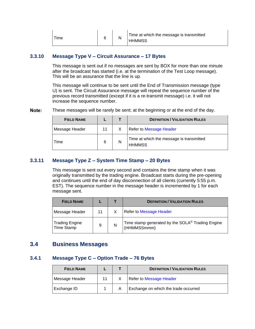| Time |  |  | Time at which the message is transmitted<br><b>HHMMSS</b> |
|------|--|--|-----------------------------------------------------------|
|------|--|--|-----------------------------------------------------------|

### <span id="page-19-0"></span>**3.3.10 Message Type V – Circuit Assurance – 17 Bytes**

This message is sent out if no messages are sent by BOX for more than one minute after the broadcast has started (i.e. at the termination of the Test Loop message). This will be an assurance that the line is up.

This message will continue to be sent until the End of Transmission message (type U) is sent. The Circuit Assurance message will repeat the sequence number of the previous record transmitted (except if it is a re-transmit message) i.e. it will not increase the sequence number.

Note: These messages will be rarely be sent; at the beginning or at the end of the day.

| <b>FIELD NAME</b> |    |   | <b>DEFINITION / VALIDATION RULES</b>                      |
|-------------------|----|---|-----------------------------------------------------------|
| Message Header    | 11 |   | Refer to Message Header                                   |
| Time              | 6  | N | Time at which the message is transmitted<br><b>HHMMSS</b> |

#### <span id="page-19-1"></span>**3.3.11 Message Type Z – System Time Stamp – 20 Bytes**

This message is sent out every second and contains the time stamp when it was originally transmitted by the trading engine. Broadcast starts during the pre-opening and continues until the end of day disconnection of all clients (currently 5:55 p.m. EST). The sequence number in the message header is incremented by 1 for each message sent.

| <b>FIELD NAME</b>                   |    |   | <b>DEFINITION / VALIDATION RULES</b>                                        |
|-------------------------------------|----|---|-----------------------------------------------------------------------------|
| Message Header                      | 11 |   | Refer to Message Header                                                     |
| <b>Trading Engine</b><br>TIme Stamp | 9  | N | Time stamp generated by the SOLA <sup>®</sup> Trading Engine<br>(HHMMSSmmm) |

### <span id="page-19-2"></span>**3.4 Business Messages**

### <span id="page-19-3"></span>**3.4.1 Message Type C – Option Trade – 76 Bytes**

| <b>FIELD NAME</b> |  | <b>DEFINITION / VALIDATION RULES</b> |
|-------------------|--|--------------------------------------|
| Message Header    |  | Refer to Message Header              |
| Exchange ID       |  | Exchange on which the trade occurred |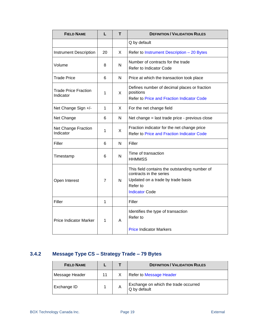| <b>FIELD NAME</b>                        | L  | т  | <b>DEFINITION / VALIDATION RULES</b>                                                                                                               |
|------------------------------------------|----|----|----------------------------------------------------------------------------------------------------------------------------------------------------|
|                                          |    |    | Q by default                                                                                                                                       |
| <b>Instrument Description</b>            | 20 | X  | Refer to Instrument Description - 20 Bytes                                                                                                         |
| Volume                                   | 8  | N  | Number of contracts for the trade<br>Refer to Indicator Code                                                                                       |
| <b>Trade Price</b>                       | 6  | N  | Price at which the transaction took place                                                                                                          |
| <b>Trade Price Fraction</b><br>Indicator | 1  | X  | Defines number of decimal places or fraction<br>positions<br>Refer to Price and Fraction Indicator Code                                            |
| Net Change Sign +/-                      | 1  | X. | For the net change field                                                                                                                           |
| Net Change                               | 6  | N  | Net change = last trade price - previous close                                                                                                     |
| <b>Net Change Fraction</b><br>Indicator  | 1  | X  | Fraction indicator for the net change price<br><b>Refer to Price and Fraction Indicator Code</b>                                                   |
| Filler                                   | 6  | N  | Filler                                                                                                                                             |
| Timestamp                                | 6  | N  | Time of transaction<br><b>HHMMSS</b>                                                                                                               |
| Open Interest                            | 7  | N  | This field contains the outstanding number of<br>contracts in the series<br>Updated on a trade by trade basis<br>Refer to<br><b>Indicator Code</b> |
| Filler                                   | 1  |    | Filler                                                                                                                                             |
| <b>Price Indicator Marker</b>            | 1  | A  | Identifies the type of transaction<br>Refer to<br><b>Price Indicator Markers</b>                                                                   |

# <span id="page-20-0"></span>**3.4.2 Message Type CS – Strategy Trade – 79 Bytes**

| <b>FIELD NAME</b> |   | <b>DEFINITION / VALIDATION RULES</b>                 |
|-------------------|---|------------------------------------------------------|
| Message Header    |   | Refer to Message Header                              |
| Exchange ID       | Α | Exchange on which the trade occurred<br>Q by default |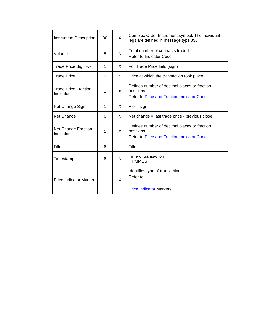| Instrument Description            | 30 | X | Complex Order Instrument symbol. The individual<br>legs are defined in message type JS.                        |
|-----------------------------------|----|---|----------------------------------------------------------------------------------------------------------------|
| Volume                            | 8  | N | Total number of contracts traded<br>Refer to Indicator Code                                                    |
| Trade Price Sign +/-              | 1  | X | For Trade Price field (sign)                                                                                   |
| Trade Price                       | 6  | N | Price at which the transaction took place                                                                      |
| Trade Price Fraction<br>Indicator | 1  | X | Defines number of decimal places or fraction<br>positions<br>Refer to Price and Fraction Indicator Code        |
| Net Change Sign                   | 1  | X | + or - sign                                                                                                    |
| Net Change                        | 6  | N | Net change = last trade price - previous close                                                                 |
| Net Change Fraction<br>Indicator  | 1  | X | Defines number of decimal places or fraction<br>positions<br><b>Refer to Price and Fraction Indicator Code</b> |
| Filler                            | 6  |   | Filler                                                                                                         |
| Timestamp                         | 6  | N | Time of transaction<br><b>HHMMSS</b>                                                                           |
| <b>Price Indicator Marker</b>     | 1  | X | Identifies type of transaction<br>Refer to<br><b>Price Indicator Markers</b>                                   |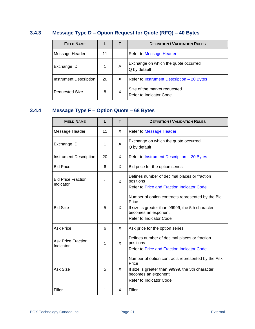# <span id="page-22-0"></span>**3.4.3 Message Type D – Option Request for Quote (RFQ) – 40 Bytes**

| <b>FIELD NAME</b>             |    |   | <b>DEFINITION / VALIDATION RULES</b>                    |
|-------------------------------|----|---|---------------------------------------------------------|
| Message Header                | 11 |   | <b>Refer to Message Header</b>                          |
| Exchange ID                   |    | A | Exchange on which the quote occurred<br>Q by default    |
| <b>Instrument Description</b> | 20 | X | Refer to Instrument Description - 20 Bytes              |
| <b>Requested Size</b>         | 8  | X | Size of the market requested<br>Refer to Indicator Code |

# <span id="page-22-1"></span>**3.4.4 Message Type F – Option Quote – 68 Bytes**

| <b>FIELD NAME</b>                      | L  | т  | <b>DEFINITION / VALIDATION RULES</b>                                                                                                                             |
|----------------------------------------|----|----|------------------------------------------------------------------------------------------------------------------------------------------------------------------|
| Message Header                         | 11 | X. | Refer to Message Header                                                                                                                                          |
| Exchange ID                            | 1  | A  | Exchange on which the quote occurred<br>Q by default                                                                                                             |
| <b>Instrument Description</b>          | 20 | X. | Refer to Instrument Description - 20 Bytes                                                                                                                       |
| <b>Bid Price</b>                       | 6  | X. | Bid price for the option series                                                                                                                                  |
| <b>Bid Price Fraction</b><br>Indicator | 1  | X  | Defines number of decimal places or fraction<br>positions<br><b>Refer to Price and Fraction Indicator Code</b>                                                   |
| <b>Bid Size</b>                        | 5  | X  | Number of option contracts represented by the Bid<br>Price<br>If size is greater than 99999, the 5th character<br>becomes an exponent<br>Refer to Indicator Code |
| <b>Ask Price</b>                       | 6  | X  | Ask price for the option series                                                                                                                                  |
| <b>Ask Price Fraction</b><br>Indicator | 1  | X  | Defines number of decimal places or fraction<br>positions<br>Refer to Price and Fraction Indicator Code                                                          |
| <b>Ask Size</b>                        | 5  | X  | Number of option contracts represented by the Ask<br>Price<br>If size is greater than 99999, the 5th character<br>becomes an exponent<br>Refer to Indicator Code |
| Filler                                 | 1  | X  | Filler                                                                                                                                                           |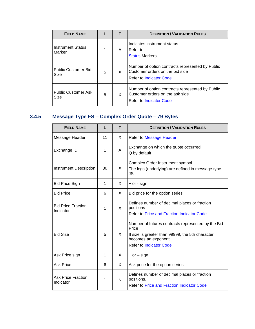| <b>FIELD NAME</b>                  |   |   | <b>DEFINITION / VALIDATION RULES</b>                                                                           |
|------------------------------------|---|---|----------------------------------------------------------------------------------------------------------------|
| <b>Instrument Status</b><br>Marker | 1 | A | Indicates instrument status<br>Refer to<br><b>Status Markers</b>                                               |
| <b>Public Customer Bid</b><br>Size | 5 | X | Number of option contracts represented by Public<br>Customer orders on the bid side<br>Refer to Indicator Code |
| <b>Public Customer Ask</b><br>Size | 5 | X | Number of option contracts represented by Public<br>Customer orders on the ask side<br>Refer to Indicator Code |

# <span id="page-23-0"></span>**3.4.5 Message Type FS – Complex Order Quote – 79 Bytes**

| <b>FIELD NAME</b>                      | L  | т | <b>DEFINITION / VALIDATION RULES</b>                                                                                                                                     |
|----------------------------------------|----|---|--------------------------------------------------------------------------------------------------------------------------------------------------------------------------|
| Message Header                         | 11 | X | <b>Refer to Message Header</b>                                                                                                                                           |
| Exchange ID                            | 1  | A | Exchange on which the quote occurred<br>Q by default                                                                                                                     |
| <b>Instrument Description</b>          | 30 | X | Complex Order Instrument symbol<br>The legs (underlying) are defined in message type<br>JS                                                                               |
| <b>Bid Price Sign</b>                  | 1  | X | $+$ or - sign                                                                                                                                                            |
| <b>Bid Price</b>                       | 6  | X | Bid price for the option series                                                                                                                                          |
| <b>Bid Price Fraction</b><br>Indicator | 1  | X | Defines number of decimal places or fraction<br>positions<br>Refer to Price and Fraction Indicator Code                                                                  |
| <b>Bid Size</b>                        | 5  | X | Number of futures contracts represented by the Bid<br>Price<br>If size is greater than 99999, the 5th character<br>becomes an exponent<br><b>Refer to Indicator Code</b> |
| Ask Price sign                         | 1  | X | $+$ or $-$ sign                                                                                                                                                          |
| <b>Ask Price</b>                       | 6  | X | Ask price for the option series                                                                                                                                          |
| <b>Ask Price Fraction</b><br>Indicator | 1  | N | Defines number of decimal places or fraction<br>positions.<br><b>Refer to Price and Fraction Indicator Code</b>                                                          |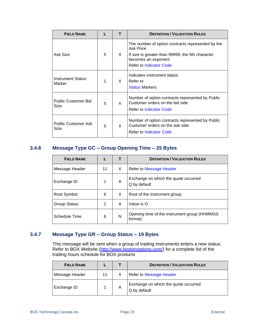| <b>FIELD NAME</b>                  |   | т  | <b>DEFINITION / VALIDATION RULES</b>                                                                                                                                        |
|------------------------------------|---|----|-----------------------------------------------------------------------------------------------------------------------------------------------------------------------------|
| Ask Size                           | 5 | X. | The number of option contracts represented by the<br>Ask Price<br>If size is greater than 99999, the 5th character<br>becomes an exponent<br><b>Refer to Indicator Code</b> |
| <b>Instrument Status</b><br>Marker | 1 | X. | Indicates instrument status<br>Refer to<br><b>Status Markers</b>                                                                                                            |
| <b>Public Customer Bid</b><br>Size | 5 | X. | Number of option contracts represented by Public<br>Customer orders on the bid side<br><b>Refer to Indicator Code</b>                                                       |
| <b>Public Customer Ask</b><br>Size | 5 | X  | Number of option contracts represented by Public<br>Customer orders on the ask side<br><b>Refer to Indicator Code</b>                                                       |

### <span id="page-24-0"></span>**3.4.6 Message Type GC – Group Opening Time – 25 Bytes**

| <b>FIELD NAME</b>   |    |   | <b>DEFINITION / VALIDATION RULES</b>                     |
|---------------------|----|---|----------------------------------------------------------|
| Message Header      | 11 | X | Refer to Message Header                                  |
| Exchange ID         | 1  | A | Exchange on which the quote occurred<br>Q by default     |
| Root Symbol         | 6  | X | Root of the instrument group                             |
| <b>Group Status</b> | 1  | A | Value is O                                               |
| Schedule Time       | 6  | N | Opening time of the instrument group (HHMMSS)<br>format) |

### <span id="page-24-1"></span>**3.4.7 Message Type GR – Group Status – 19 Bytes**

This message will be sent when a group of trading instruments enters a new status. Refer to BOX Website (http://www.bostonoptions.com/) for a complete list of the trading hours schedule for BOX products

| <b>FIELD NAME</b> |    |   | <b>DEFINITION / VALIDATION RULES</b>                 |
|-------------------|----|---|------------------------------------------------------|
| Message Header    | 11 | X | <b>Refer to Message Header</b>                       |
| Exchange ID       |    | A | Exchange on which the quote occurred<br>Q by default |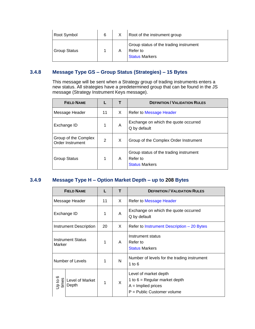| Root Symbol         | 6 |   | Root of the instrument group                                                |
|---------------------|---|---|-----------------------------------------------------------------------------|
| <b>Group Status</b> |   | А | Group status of the trading instrument<br>Refer to<br><b>Status Markers</b> |

### <span id="page-25-0"></span>**3.4.8 Message Type GS – Group Status (Strategies) – 15 Bytes**

This message will be sent when a Strategy group of trading instruments enters a new status. All strategies have a predetermined group that can be found in the JS message (Strategy Instrument Keys message).

| <b>FIELD NAME</b>                        |                | т | <b>DEFINITION / VALIDATION RULES</b>                                        |
|------------------------------------------|----------------|---|-----------------------------------------------------------------------------|
| Message Header                           | 11             | X | <b>Refer to Message Header</b>                                              |
| Exchange ID                              | 1              | A | Exchange on which the quote occurred<br>Q by default                        |
| Group of the Complex<br>Order Instrument | $\overline{2}$ | X | Group of the Complex Order Instrument                                       |
| <b>Group Status</b>                      | 1              | A | Group status of the trading instrument<br>Refer to<br><b>Status Markers</b> |

### <span id="page-25-1"></span>**3.4.9 Message Type H – Option Market Depth – up to 208 Bytes**

|                  | <b>FIELD NAME</b>        | L  | т  | <b>DEFINITION / VALIDATION RULES</b>                                                                           |
|------------------|--------------------------|----|----|----------------------------------------------------------------------------------------------------------------|
|                  | Message Header           | 11 | X. | <b>Refer to Message Header</b>                                                                                 |
| Exchange ID      |                          | 1  | A  | Exchange on which the quote occurred<br>Q by default                                                           |
|                  | Instrument Description   | 20 | X. | Refer to Instrument Description – 20 Bytes                                                                     |
| Marker           | <b>Instrument Status</b> | 1  | A  | Instrument status<br>Refer to<br><b>Status Markers</b>                                                         |
|                  | Number of Levels         | 1  | N  | Number of levels for the trading instrument<br>1 to $6$                                                        |
| Jp to 6<br>times | Level of Market<br>Depth | 1  | X  | Level of market depth<br>1 to $6$ = Regular market depth<br>$A =$ Implied prices<br>P = Public Customer volume |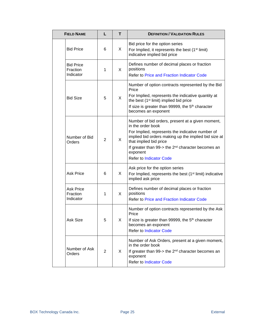| <b>FIELD NAME</b>                         | L              | т  | <b>DEFINITION / VALIDATION RULES</b>                                                                                                                                                                                                                                                                                          |
|-------------------------------------------|----------------|----|-------------------------------------------------------------------------------------------------------------------------------------------------------------------------------------------------------------------------------------------------------------------------------------------------------------------------------|
| <b>Bid Price</b>                          | 6              | X  | Bid price for the option series<br>For Implied, it represents the best (1 <sup>st</sup> limit)<br>indicative implied bid price                                                                                                                                                                                                |
| <b>Bid Price</b><br>Fraction<br>Indicator | 1              | X  | Defines number of decimal places or fraction<br>positions<br><b>Refer to Price and Fraction Indicator Code</b>                                                                                                                                                                                                                |
| <b>Bid Size</b>                           | 5              | X  | Number of option contracts represented by the Bid<br>Price<br>For Implied, represents the indicative quantity at<br>the best (1 <sup>st</sup> limit) implied bid price<br>If size is greater than 99999, the 5 <sup>th</sup> character<br>becomes an exponent                                                                 |
| Number of Bid<br>Orders                   | $\overline{2}$ | X  | Number of bid orders, present at a given moment,<br>in the order book<br>For Implied, represents the indicative number of<br>implied bid orders making up the implied bid size at<br>that implied bid price<br>If greater than 99- $>$ the 2 <sup>nd</sup> character becomes an<br>exponent<br><b>Refer to Indicator Code</b> |
| <b>Ask Price</b>                          | 6              | X. | Ask price for the option series<br>For Implied, represents the best (1 <sup>st</sup> limit) indicative<br>implied ask price                                                                                                                                                                                                   |
| <b>Ask Price</b><br>Fraction<br>Indicator | 1              | X  | Defines number of decimal places or fraction<br>positions<br>Refer to Price and Fraction Indicator Code                                                                                                                                                                                                                       |
| Ask Size                                  | 5              | X  | Number of option contracts represented by the Ask<br>Price<br>If size is greater than 99999, the 5 <sup>th</sup> character<br>becomes an exponent<br><b>Refer to Indicator Code</b>                                                                                                                                           |
| Number of Ask<br>Orders                   | 2              | X. | Number of Ask Orders, present at a given moment,<br>in the order book<br>If greater than 99-> the 2 <sup>nd</sup> character becomes an<br>exponent<br><b>Refer to Indicator Code</b>                                                                                                                                          |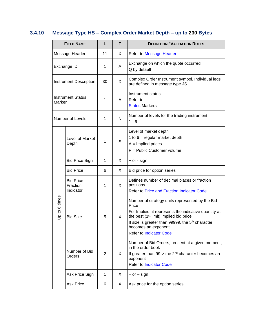# <span id="page-27-0"></span>**3.4.10 Message Type HS – Complex Order Market Depth – up to 230 Bytes**

|               | <b>FIELD NAME</b>                         | L              | т  | <b>DEFINITION / VALIDATION RULES</b>                                                                                                                                                                                                                                                             |
|---------------|-------------------------------------------|----------------|----|--------------------------------------------------------------------------------------------------------------------------------------------------------------------------------------------------------------------------------------------------------------------------------------------------|
|               | Message Header                            | 11             | X  | Refer to Message Header                                                                                                                                                                                                                                                                          |
|               | Exchange ID                               | 1              | A  | Exchange on which the quote occurred<br>Q by default                                                                                                                                                                                                                                             |
|               | <b>Instrument Description</b>             | 30             | X  | Complex Order Instrument symbol. Individual legs<br>are defined in message type JS.                                                                                                                                                                                                              |
| Marker        | <b>Instrument Status</b>                  | 1              | A  | Instrument status<br>Refer to<br><b>Status Markers</b>                                                                                                                                                                                                                                           |
|               | Number of Levels                          | 1              | N  | Number of levels for the trading instrument<br>$1 - 6$                                                                                                                                                                                                                                           |
|               | Level of Market<br>Depth                  | 1              | X  | Level of market depth<br>1 to $6 =$ regular market depth<br>$A =$ Implied prices<br>$P =$ Public Customer volume                                                                                                                                                                                 |
|               | <b>Bid Price Sign</b>                     | 1              | X  | $+$ or - sign                                                                                                                                                                                                                                                                                    |
|               | <b>Bid Price</b>                          | 6              | X. | Bid price for option series                                                                                                                                                                                                                                                                      |
|               | <b>Bid Price</b><br>Fraction<br>Indicator | 1              | X  | Defines number of decimal places or fraction<br>positions<br>Refer to Price and Fraction Indicator Code                                                                                                                                                                                          |
| Up to 6 times | <b>Bid Size</b>                           | 5              | X  | Number of strategy units represented by the Bid<br>Price<br>For Implied, it represents the indicative quantity at<br>the best (1 <sup>st</sup> limit) implied bid price<br>If size is greater than 99999, the 5 <sup>th</sup> character<br>becomes an exponent<br><b>Refer to Indicator Code</b> |
|               | Number of Bid<br>Orders                   | $\overline{2}$ | X  | Number of Bid Orders, present at a given moment,<br>in the order book<br>If greater than 99- $>$ the 2 <sup>nd</sup> character becomes an<br>exponent<br><b>Refer to Indicator Code</b>                                                                                                          |
|               | Ask Price Sign                            | $\mathbf{1}$   | X  | $+$ or $-$ sign                                                                                                                                                                                                                                                                                  |
|               | <b>Ask Price</b>                          | 6              | X  | Ask price for the option series                                                                                                                                                                                                                                                                  |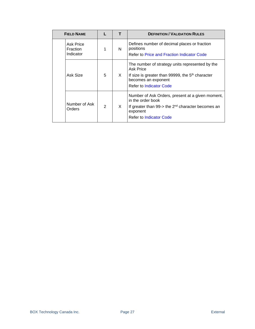|  | <b>FIELD NAME</b>                  |               | т  | <b>DEFINITION / VALIDATION RULES</b>                                                                                                                                                         |
|--|------------------------------------|---------------|----|----------------------------------------------------------------------------------------------------------------------------------------------------------------------------------------------|
|  | Ask Price<br>Fraction<br>Indicator | 1             | N  | Defines number of decimal places or fraction<br>positions<br>Refer to Price and Fraction Indicator Code                                                                                      |
|  | Ask Size                           | 5             | X. | The number of strategy units represented by the<br><b>Ask Price</b><br>If size is greater than 99999, the 5 <sup>th</sup> character<br>becomes an exponent<br><b>Refer to Indicator Code</b> |
|  | Number of Ask<br>Orders            | $\mathcal{P}$ | X. | Number of Ask Orders, present at a given moment,<br>in the order book<br>If greater than 99- $>$ the 2 <sup>nd</sup> character becomes an<br>exponent<br><b>Refer to Indicator Code</b>      |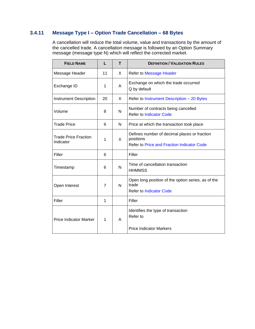### <span id="page-29-0"></span>**3.4.11 Message Type I – Option Trade Cancellation – 68 Bytes**

A cancellation will reduce the total volume, value and transactions by the amount of the cancelled trade. A cancellation message is followed by an Option Summary message (message type N) which will reflect the corrected market.

| <b>FIELD NAME</b>                        | L              | т | <b>DEFINITION / VALIDATION RULES</b>                                                                           |
|------------------------------------------|----------------|---|----------------------------------------------------------------------------------------------------------------|
| Message Header                           | 11             | X | <b>Refer to Message Header</b>                                                                                 |
| Exchange ID                              | 1              | A | Exchange on which the trade occurred<br>Q by default                                                           |
| <b>Instrument Description</b>            | 20             | X | Refer to Instrument Description - 20 Bytes                                                                     |
| Volume                                   | 8              | N | Number of contracts being cancelled<br><b>Refer to Indicator Code</b>                                          |
| <b>Trade Price</b>                       | 6              | N | Price at which the transaction took place                                                                      |
| <b>Trade Price Fraction</b><br>Indicator | 1              | X | Defines number of decimal places or fraction<br>positions<br><b>Refer to Price and Fraction Indicator Code</b> |
| Filler                                   | 6              |   | Filler                                                                                                         |
| Timestamp                                | 6              | N | Time of cancellation transaction<br><b>HHMMSS</b>                                                              |
| Open Interest                            | $\overline{7}$ | N | Open long position of the option series, as of the<br>trade<br><b>Refer to Indicator Code</b>                  |
| Filler                                   | 1              |   | Filler                                                                                                         |
| <b>Price Indicator Marker</b>            | 1              | A | Identifies the type of transaction<br>Refer to<br><b>Price Indicator Markers</b>                               |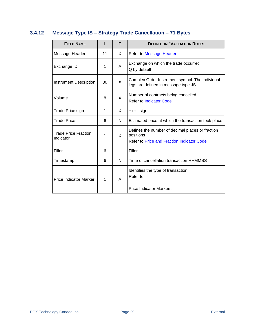# <span id="page-30-0"></span>**3.4.12 Message Type IS – Strategy Trade Cancellation – 71 Bytes**

| <b>FIELD NAME</b>                        |    | т | <b>DEFINITION / VALIDATION RULES</b>                                                                        |
|------------------------------------------|----|---|-------------------------------------------------------------------------------------------------------------|
| Message Header                           | 11 | X | Refer to Message Header                                                                                     |
| Exchange ID                              | 1  | A | Exchange on which the trade occurred<br>Q by default                                                        |
| <b>Instrument Description</b>            | 30 | X | Complex Order Instrument symbol. The individual<br>legs are defined in message type JS.                     |
| Volume                                   | 8  | X | Number of contracts being cancelled<br>Refer to Indicator Code                                              |
| Trade Price sign                         | 1  | X | $+$ or - sign                                                                                               |
| Trade Price                              | 6  | N | Estimated price at which the transaction took place                                                         |
| <b>Trade Price Fraction</b><br>Indicator | 1  | X | Defines the number of decimal places or fraction<br>positions<br>Refer to Price and Fraction Indicator Code |
| Filler                                   | 6  |   | Filler                                                                                                      |
| Timestamp                                | 6  | N | Time of cancellation transaction HHMMSS                                                                     |
| <b>Price Indicator Marker</b>            | 1  | A | Identifies the type of transaction<br>Refer to<br><b>Price Indicator Markers</b>                            |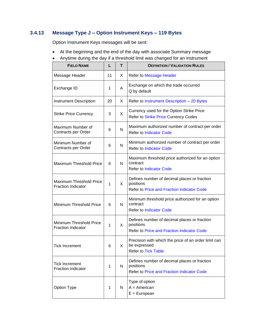## <span id="page-31-0"></span>**3.4.13 Message Type J – Option Instrument Keys – 119 Bytes**

Option Instrument Keys messages will be sent:

- At the beginning and the end of the day with associate Summary message
- Anytime during the day if a threshold limit was changed for an instrument

| <b>FIELD NAME</b>                                           | L  | т            | <b>DEFINITION / VALIDATION RULES</b>                                                                           |
|-------------------------------------------------------------|----|--------------|----------------------------------------------------------------------------------------------------------------|
| Message Header                                              | 11 | X            | Refer to Message Header                                                                                        |
| Exchange ID                                                 | 1  | A            | Exchange on which the trade occurred<br>Q by default                                                           |
| <b>Instrument Description</b>                               | 20 | X            | Refer to Instrument Description - 20 Bytes                                                                     |
| <b>Strike Price Currency</b>                                | 3  | X            | Currency used for the Option Strike Price<br>Refer to Strike Price Currency Codes                              |
| Maximum Number of<br>Contracts per Order                    | 6  | $\mathsf{N}$ | Maximum authorized number of contract per order<br><b>Refer to Indicator Code</b>                              |
| Minimum Number of<br>Contracts per Order                    | 6  | $\mathsf{N}$ | Minimum authorized number of contract per order<br><b>Refer to Indicator Code</b>                              |
| <b>Maximum Threshold Price</b>                              | 6  | N            | Maximum threshold price authorized for an option<br>contract<br><b>Refer to Indicator Code</b>                 |
| <b>Maximum Threshold Price</b><br><b>Fraction Indicator</b> | 1  | X            | Defines number of decimal places or fraction<br>positions<br>Refer to Price and Fraction Indicator Code        |
| Minimum Threshold Price                                     | 6  | N            | Minimum threshold price authorized for an option<br>contract<br><b>Refer to Indicator Code</b>                 |
| Minimum Threshold Price<br><b>Fraction Indicator</b>        | 1  | X            | Defines number of decimal places or fraction<br>positions<br><b>Refer to Price and Fraction Indicator Code</b> |
| Tick Increment                                              | 6  | X            | Precision with which the price of an order limit can<br>be expressed<br><b>Refer to Tick Table</b>             |
| <b>Tick Increment</b><br><b>Fraction Indicator</b>          | 1  | N            | Defines number of decimal places or fraction<br>positions<br><b>Refer to Price and Fraction Indicator Code</b> |
| Option Type                                                 | 1  | N            | Type of option<br>$A = American$<br>$E = E$ uropean                                                            |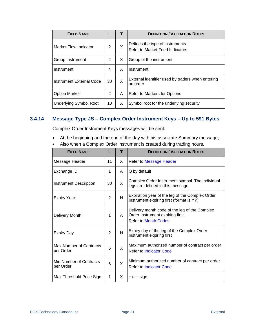| <b>FIELD NAME</b>             |    |   | <b>DEFINITION / VALIDATION RULES</b>                               |
|-------------------------------|----|---|--------------------------------------------------------------------|
| Market Flow Indicator         | 2  | X | Defines the type of instruments<br>Refer to Market Feed Indicators |
| Group Instrument              | 2  | X | Group of the instrument                                            |
| Instrument                    | 4  | X | Instrument                                                         |
| Instrument External Code      | 30 | X | External identifier used by traders when entering<br>an order      |
| <b>Option Marker</b>          | 2  | A | Refer to Markers for Options                                       |
| <b>Underlying Symbol Root</b> | 10 | X | Symbol root for the underlying security                            |

### <span id="page-32-0"></span>**3.4.14 Message Type JS – Complex Order Instrument Keys – Up to 591 Bytes**

Complex Order Instrument Keys messages will be sent:

- At the beginning and the end of the day with his associate Summary message;
- Also when a Complex Order instrument is created during trading hours.

| <b>FIELD NAME</b>                    | L  | т  | <b>DEFINITION / VALIDATION RULES</b>                                                                            |
|--------------------------------------|----|----|-----------------------------------------------------------------------------------------------------------------|
| Message Header                       | 11 | X  | Refer to Message Header                                                                                         |
| Exchange ID                          | 1  | A  | Q by default                                                                                                    |
| Instrument Description               | 30 | X. | Complex Order Instrument symbol. The individual<br>legs are defined in this message.                            |
| <b>Expiry Year</b>                   | 2  | N  | Expiration year of the leg of the Complex Order<br>Instrument expiring first (format is YY)                     |
| Delivery Month                       | 1  | A  | Delivery month code of the leg of the Complex<br>Order Instrument expiring first<br><b>Refer to Month Codes</b> |
| <b>Expiry Day</b>                    | 2  | N  | Expiry day of the leg of the Complex Order<br>Instrument expiring first                                         |
| Max Number of Contracts<br>per Order | 6  | X  | Maximum authorized number of contract per order<br><b>Refer to Indicator Code</b>                               |
| Min Number of Contracts<br>per Order | 6  | X  | Minimum authorized number of contract per order<br><b>Refer to Indicator Code</b>                               |
| Max Threshold Price Sign             | 1  | X  | $+$ or - sign                                                                                                   |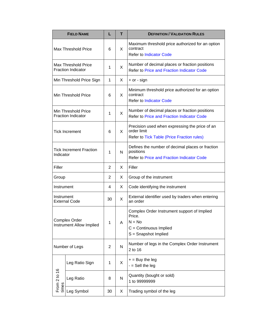|                                                         | <b>FIELD NAME</b>                                       | L  | т            | <b>DEFINITION / VALIDATION RULES</b>                                                                                 |
|---------------------------------------------------------|---------------------------------------------------------|----|--------------|----------------------------------------------------------------------------------------------------------------------|
|                                                         | <b>Max Threshold Price</b>                              | 6  | X            | Maximum threshold price authorized for an option<br>contract<br><b>Refer to Indicator Code</b>                       |
|                                                         | <b>Max Threshold Price</b><br><b>Fraction Indicator</b> | 1  | X            | Number of decimal places or fraction positions<br><b>Refer to Price and Fraction Indicator Code</b>                  |
|                                                         | Min Threshold Price Sign                                | 1  | X            | $+$ or - sign                                                                                                        |
|                                                         | Min Threshold Price                                     | 6  | X            | Minimum threshold price authorized for an option<br>contract<br><b>Refer to Indicator Code</b>                       |
|                                                         | Min Threshold Price<br><b>Fraction Indicator</b>        | 1  | X            | Number of decimal places or fraction positions<br>Refer to Price and Fraction Indicator Code                         |
| <b>Tick Increment</b>                                   |                                                         | 6  | $\mathsf{X}$ | Precision used when expressing the price of an<br>order limit<br>Refer to Tick Table (Price Fraction rules)          |
| <b>Tick Increment Fraction</b><br>Indicator             |                                                         | 1  | N            | Defines the number of decimal places or fraction<br>positions<br><b>Refer to Price and Fraction Indicator Code</b>   |
| Filler                                                  |                                                         | 2  | X            | Filler                                                                                                               |
| Group                                                   |                                                         | 2  | X            | Group of the instrument                                                                                              |
| Instrument                                              |                                                         | 4  | X            | Code identifying the instrument                                                                                      |
| Instrument                                              | <b>External Code</b>                                    | 30 | X            | External identifier used by traders when entering<br>an order                                                        |
| <b>Complex Order</b><br><b>Instrument Allow Implied</b> |                                                         | 1  | A            | Complex Order Instrument support of Implied<br>Price<br>$N = No$<br>$C =$ Continuous Implied<br>S = Snapshot Implied |
|                                                         | Number of Legs                                          | 2  | N            | Number of legs in the Complex Order Instrument<br>2 to 16                                                            |
|                                                         | Leg Ratio Sign                                          | 1  | X            | $+$ = Buy the leg<br>$-$ = Sell the leg                                                                              |
| From 2 to 16<br>times                                   | Leg Ratio                                               | 8  | N            | Quantity (bought or sold)<br>1 to 99999999                                                                           |
|                                                         | Leg Symbol                                              | 30 | X            | Trading symbol of the leg                                                                                            |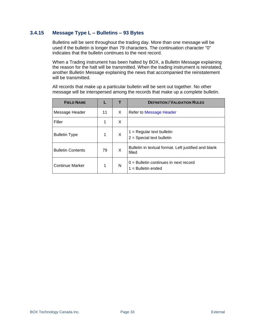### <span id="page-34-0"></span>**3.4.15 Message Type L – Bulletins – 93 Bytes**

Bulletins will be sent throughout the trading day. More than one message will be used if the bulletin is longer than 79 characters. The continuation character "0" indicates that the bulletin continues to the next record.

When a Trading instrument has been halted by BOX, a Bulletin Message explaining the reason for the halt will be transmitted. When the trading instrument is reinstated, another Bulletin Message explaining the news that accompanied the reinstatement will be transmitted.

All records that make up a particular bulletin will be sent out together. No other message will be interspersed among the records that make up a complete bulletin.

| <b>FIELD NAME</b>        |    |    | <b>DEFINITION / VALIDATION RULES</b>                            |
|--------------------------|----|----|-----------------------------------------------------------------|
| Message Header           | 11 | X. | Refer to Message Header                                         |
| Filler                   | 1  | X  |                                                                 |
| <b>Bulletin Type</b>     | 1  | X  | $1 =$ Regular text bulletin<br>$2 =$ Special text bulletin      |
| <b>Bulletin Contents</b> | 79 | X  | Bulletin in textual format. Left justified and blank<br>filled  |
| <b>Continue Marker</b>   | 1  | N  | $0 =$ Bulletin continues in next record<br>$1 =$ Bulletin ended |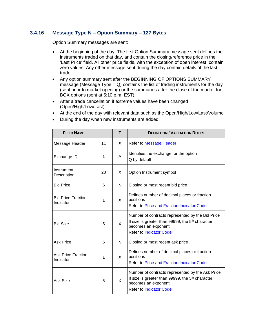### <span id="page-35-0"></span>**3.4.16 Message Type N – Option Summary – 127 Bytes**

Option Summary messages are sent:

- At the beginning of the day. The first Option Summary message sent defines the instruments traded on that day, and contain the closing/reference price in the 'Last Price' field. All other price fields, with the exception of open interest, contain zero values. Any other message sent during the day contain details of the last trade.
- Any option summary sent after the BEGINNING OF OPTIONS SUMMARY message (Message Type  $= Q$ ) contains the list of trading instruments for the day (sent prior to market opening) or the summaries after the close of the market for BOX options (sent at 5:10 p.m. EST).
- After a trade cancellation if extreme values have been changed (Open/High/Low/Last).
- At the end of the day with relevant data such as the Open/High/Low/Last/Volume
- During the day when new instruments are added.

| <b>FIELD NAME</b>                      |    | т | <b>DEFINITION / VALIDATION RULES</b>                                                                                                                                      |
|----------------------------------------|----|---|---------------------------------------------------------------------------------------------------------------------------------------------------------------------------|
| Message Header                         | 11 | X | <b>Refer to Message Header</b>                                                                                                                                            |
| Exchange ID                            | 1  | A | Identifies the exchange for the option<br>Q by default                                                                                                                    |
| Instrument<br>Description              | 20 | X | Option Instrument symbol                                                                                                                                                  |
| <b>Bid Price</b>                       | 6  | N | Closing or most recent bid price                                                                                                                                          |
| <b>Bid Price Fraction</b><br>Indicator | 1  | X | Defines number of decimal places or fraction<br>positions<br>Refer to Price and Fraction Indicator Code                                                                   |
| <b>Bid Size</b>                        | 5  | X | Number of contracts represented by the Bid Price<br>If size is greater than 99999, the 5 <sup>th</sup> character<br>becomes an exponent<br><b>Refer to Indicator Code</b> |
| <b>Ask Price</b>                       | 6  | N | Closing or most recent ask price                                                                                                                                          |
| <b>Ask Price Fraction</b><br>Indicator | 1  | X | Defines number of decimal places or fraction<br>positions<br><b>Refer to Price and Fraction Indicator Code</b>                                                            |
| Ask Size                               | 5  | X | Number of contracts represented by the Ask Price<br>If size is greater than 99999, the 5 <sup>th</sup> character<br>becomes an exponent<br><b>Refer to Indicator Code</b> |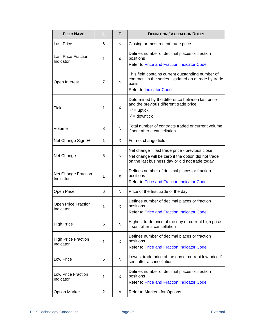| <b>FIELD NAME</b>                       | L              | т            | <b>DEFINITION / VALIDATION RULES</b>                                                                                                                     |
|-----------------------------------------|----------------|--------------|----------------------------------------------------------------------------------------------------------------------------------------------------------|
| <b>Last Price</b>                       | 6              | N            | Closing or most recent trade price                                                                                                                       |
| <b>Last Price Fraction</b><br>Indicator | 1              | X            | Defines number of decimal places or fraction<br>positions<br><b>Refer to Price and Fraction Indicator Code</b>                                           |
| Open Interest                           | $\overline{7}$ | N            | This field contains current outstanding number of<br>contracts in the series. Updated on a trade by trade<br>basis.<br><b>Refer to Indicator Code</b>    |
| Tick                                    | 1              | X            | Determined by the difference between last price<br>and the previous different trade price<br>$'t' = uptick$<br>$i'$ = downtick                           |
| Volume                                  | 8              | N            | Total number of contracts traded or current volume<br>if sent after a cancellation                                                                       |
| Net Change Sign +/-                     | 1              | X            | For net change field                                                                                                                                     |
| Net Change                              | 6              | N            | Net change = last trade price - previous close<br>Net change will be zero if the option did not trade<br>on the last business day or did not trade today |
| Net Change Fraction<br>Indicator        | 1              | X            | Defines number of decimal places or fraction<br>positions<br><b>Refer to Price and Fraction Indicator Code</b>                                           |
| Open Price                              | 6              | N            | Price of the first trade of the day                                                                                                                      |
| Open Price Fraction<br>Indicator        | 1              | $\mathsf{X}$ | Defines number of decimal places or fraction<br>positions<br><b>Refer to Price and Fraction Indicator Code</b>                                           |
| <b>High Price</b>                       | 6              | N            | Highest trade price of the day or current high price<br>if sent after a cancellation                                                                     |
| <b>High Price Fraction</b><br>Indicator | 1              | X            | Defines number of decimal places or fraction<br>positions<br><b>Refer to Price and Fraction Indicator Code</b>                                           |
| Low Price                               | 6              | N            | Lowest trade price of the day or current low price if<br>sent after a cancellation                                                                       |
| Low Price Fraction<br>Indicator         | 1              | X            | Defines number of decimal places or fraction<br>positions<br><b>Refer to Price and Fraction Indicator Code</b>                                           |
| <b>Option Marker</b>                    | 2              | A            | Refer to Markers for Options                                                                                                                             |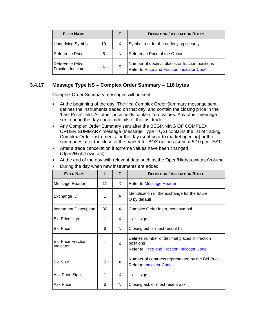| <b>FIELD NAME</b>                                   |    |   | <b>DEFINITION / VALIDATION RULES</b>                                                         |
|-----------------------------------------------------|----|---|----------------------------------------------------------------------------------------------|
| <b>Underlying Symbol</b>                            | 10 |   | Symbol root for the underlying security                                                      |
| <b>Reference Price</b>                              | 6  | N | Reference Price of the Option                                                                |
| <b>Reference Price</b><br><b>Fraction Indicator</b> |    | X | Number of decimal places or fraction positions<br>Refer to Price and Fraction Indicator Code |

### <span id="page-37-0"></span>**3.4.17 Message Type NS – Complex Order Summary – 116 bytes**

Complex Order Summary messages will be sent:

- At the beginning of the day. The first Complex Order Summary message sent defines the instruments traded on that day, and contain the closing price in the 'Last Price' field. All other price fields contain zero values. Any other message sent during the day contain details of the last trade.
- Any Complex Order Summary sent after the BEGINNING OF COMPLEX ORDER SUMMARY message (Message Type = QS) contains the list of trading Complex Order instruments for the day (sent prior to market opening) or the summaries after the close of the market for BOX options (sent at 5:10 p.m. EST).
- After a trade cancellation if extreme values have been changed (Open/High/Low/Last).
- At the end of the day with relevant data such as the Open/High/Low/Last/Volume

| <b>FIELD NAME</b> |  | <b>DEFINITION / VALIDATION RULES</b> |
|-------------------|--|--------------------------------------|
| Message Header    |  | Refer to Message Header              |
|                   |  |                                      |

|  |  |  | During the day when new instruments are added. |  |
|--|--|--|------------------------------------------------|--|
|  |  |  |                                                |  |

| Exchange ID                            | 1  | A | Identification of the exchange for the future<br>Q by default                                           |
|----------------------------------------|----|---|---------------------------------------------------------------------------------------------------------|
| <b>Instrument Description</b>          | 30 | X | Complex Order Instrument symbol                                                                         |
| Bid Price sign                         | 1  | X | + or - sign                                                                                             |
| <b>Bid Price</b>                       | 6  | N | Closing bid or most recent bid                                                                          |
| <b>Bid Price Fraction</b><br>Indicator | 1  | X | Defines number of decimal places or fraction<br>positions<br>Refer to Price and Fraction Indicator Code |
| <b>Bid Size</b>                        | 5  | X | Number of contracts represented by the Bid Price.<br><b>Refer to Indicator Code</b>                     |
| Ask Price Sign                         | 1  | X | $+$ or - sign                                                                                           |
| <b>Ask Price</b>                       | 6  | N | Closing ask or most recent ask                                                                          |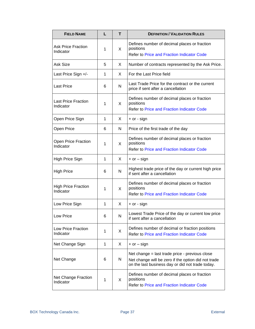| <b>FIELD NAME</b>                       | L | т            | <b>DEFINITION / VALIDATION RULES</b>                                                                                                                      |
|-----------------------------------------|---|--------------|-----------------------------------------------------------------------------------------------------------------------------------------------------------|
| <b>Ask Price Fraction</b><br>Indicator  | 1 | X            | Defines number of decimal places or fraction<br>positions<br><b>Refer to Price and Fraction Indicator Code</b>                                            |
| Ask Size                                | 5 | X            | Number of contracts represented by the Ask Price.                                                                                                         |
| Last Price Sign +/-                     | 1 | X            | For the Last Price field                                                                                                                                  |
| <b>Last Price</b>                       | 6 | N            | Last Trade Price for the contract or the current<br>price if sent after a cancellation                                                                    |
| <b>Last Price Fraction</b><br>Indicator | 1 | X            | Defines number of decimal places or fraction<br>positions<br><b>Refer to Price and Fraction Indicator Code</b>                                            |
| Open Price Sign                         | 1 | X            | $+$ or - sign                                                                                                                                             |
| Open Price                              | 6 | N            | Price of the first trade of the day                                                                                                                       |
| Open Price Fraction<br>Indicator        | 1 | X            | Defines number of decimal places or fraction<br>positions<br><b>Refer to Price and Fraction Indicator Code</b>                                            |
| High Price Sign                         | 1 | X            | $+$ or $-$ sign                                                                                                                                           |
| <b>High Price</b>                       | 6 | N            | Highest trade price of the day or current high price<br>if sent after a cancellation                                                                      |
| <b>High Price Fraction</b><br>Indicator | 1 | X            | Defines number of decimal places or fraction<br>positions<br><b>Refer to Price and Fraction Indicator Code</b>                                            |
| Low Price Sign                          | 1 | X            | + or - sign                                                                                                                                               |
| Low Price                               | 6 | N            | Lowest Trade Price of the day or current low price<br>if sent after a cancellation                                                                        |
| Low Price Fraction<br>Indicator         | 1 | $\mathsf{X}$ | Defines number of decimal or fraction positions<br><b>Refer to Price and Fraction Indicator Code</b>                                                      |
| Net Change Sign                         | 1 | X            | $+$ or $-$ sign                                                                                                                                           |
| Net Change                              | 6 | N            | Net change = last trade price - previous close<br>Net change will be zero if the option did not trade<br>on the last business day or did not trade today. |
| <b>Net Change Fraction</b><br>Indicator | 1 | X            | Defines number of decimal places or fraction<br>positions<br><b>Refer to Price and Fraction Indicator Code</b>                                            |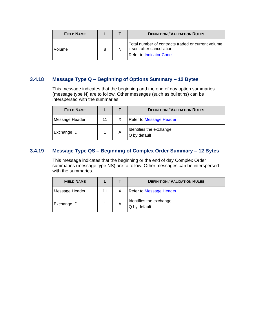| <b>FIELD NAME</b> |  | <b>DEFINITION / VALIDATION RULES</b>                                                                               |
|-------------------|--|--------------------------------------------------------------------------------------------------------------------|
| Volume            |  | Total number of contracts traded or current volume<br>if sent after cancellation<br><b>Refer to Indicator Code</b> |

### <span id="page-39-0"></span>**3.4.18 Message Type Q – Beginning of Options Summary – 12 Bytes**

This message indicates that the beginning and the end of day option summaries (message type N) are to follow. Other messages (such as bulletins) can be interspersed with the summaries.

| <b>FIELD NAME</b> |    |   | <b>DEFINITION / VALIDATION RULES</b>    |
|-------------------|----|---|-----------------------------------------|
| Message Header    | 11 |   | <b>Refer to Message Header</b>          |
| Exchange ID       |    | A | Identifies the exchange<br>Q by default |

### <span id="page-39-1"></span>**3.4.19 Message Type QS – Beginning of Complex Order Summary – 12 Bytes**

This message indicates that the beginning or the end of day Complex Order summaries (message type NS) are to follow. Other messages can be interspersed with the summaries.

| <b>FIELD NAME</b> |    |   | <b>DEFINITION / VALIDATION RULES</b>    |
|-------------------|----|---|-----------------------------------------|
| Message Header    | 11 |   | <b>Refer to Message Header</b>          |
| Exchange ID       |    | A | Identifies the exchange<br>Q by default |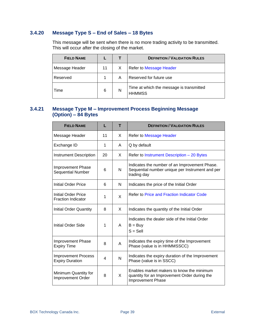### <span id="page-40-0"></span>**3.4.20 Message Type S – End of Sales – 18 Bytes**

This message will be sent when there is no more trading activity to be transmitted. This will occur after the closing of the market.

| <b>FIELD NAME</b> |    |   | <b>DEFINITION / VALIDATION RULES</b>                      |
|-------------------|----|---|-----------------------------------------------------------|
| Message Header    | 11 | X | Refer to Message Header                                   |
| Reserved          |    | А | Reserved for future use                                   |
| Time              | 6  | N | Time at which the message is transmitted<br><b>HHMMSS</b> |

### <span id="page-40-1"></span>**3.4.21 Message Type M – Improvement Process Beginning Message (Option) – 84 Bytes**

| <b>FIELD NAME</b>                                    | L  | т | <b>DEFINITION / VALIDATION RULES</b>                                                                            |
|------------------------------------------------------|----|---|-----------------------------------------------------------------------------------------------------------------|
| Message Header                                       | 11 | X | <b>Refer to Message Header</b>                                                                                  |
| Exchange ID                                          | 1  | A | Q by default                                                                                                    |
| <b>Instrument Description</b>                        | 20 | X | Refer to Instrument Description - 20 Bytes                                                                      |
| <b>Improvement Phase</b><br><b>Sequential Number</b> | 6  | N | Indicates the number of an Improvement Phase.<br>Sequential number unique per Instrument and per<br>trading day |
| Initial Order Price                                  | 6  | N | Indicates the price of the Initial Order                                                                        |
| Initial Order Price<br><b>Fraction Indicator</b>     | 1  | X | <b>Refer to Price and Fraction Indicator Code</b>                                                               |
| <b>Initial Order Quantity</b>                        | 8  | X | Indicates the quantity of the Initial Order                                                                     |
| <b>Initial Order Side</b>                            | 1  | A | Indicates the dealer side of the Initial Order<br>$B = Buy$<br>$S =$ Sell                                       |
| <b>Improvement Phase</b><br><b>Expiry Time</b>       | 8  | Α | Indicates the expiry time of the Improvement<br>Phase (value is in HHMMSSCC)                                    |
| <b>Improvement Process</b><br><b>Expiry Duration</b> | 4  | N | Indicates the expiry duration of the Improvement<br>Phase (value is in SSCC)                                    |
| Minimum Quantity for<br>Improvement Order            | 8  | X | Enables market makers to know the minimum<br>quantity for an Improvement Order during the<br>Improvement Phase  |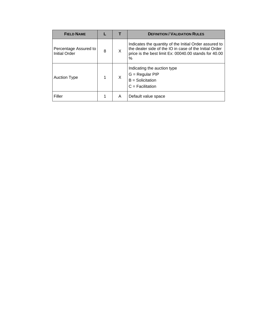| <b>FIELD NAME</b>                             |   |   | <b>DEFINITION / VALIDATION RULES</b>                                                                                                                                              |
|-----------------------------------------------|---|---|-----------------------------------------------------------------------------------------------------------------------------------------------------------------------------------|
| Percentage Assured to<br><b>Initial Order</b> | 8 | X | Indicates the quantity of the Initial Order assured to<br>the dealer side of the IO in case of the Initial Order<br>price is the best limit Ex: 00040.00 stands for 40.00<br>$\%$ |
| <b>Auction Type</b>                           |   | X | Indicating the auction type<br>$G =$ Regular PIP<br>$B =$ Solicitation<br>$C = Facilitation$                                                                                      |
| Filler                                        |   | A | Default value space                                                                                                                                                               |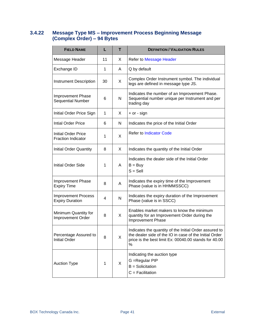### <span id="page-42-0"></span>**3.4.22 Message Type MS – Improvement Process Beginning Message (Complex Order) – 94 Bytes**

| <b>FIELD NAME</b>                                    | L  | т            | <b>DEFINITION / VALIDATION RULES</b>                                                                                                                                           |
|------------------------------------------------------|----|--------------|--------------------------------------------------------------------------------------------------------------------------------------------------------------------------------|
| Message Header                                       | 11 | X            | <b>Refer to Message Header</b>                                                                                                                                                 |
| Exchange ID                                          | 1  | A            | Q by default                                                                                                                                                                   |
| <b>Instrument Description</b>                        | 30 | X            | Complex Order Instrument symbol. The individual<br>legs are defined in message type JS.                                                                                        |
| <b>Improvement Phase</b><br>Sequential Number        | 6  | N            | Indicates the number of an Improvement Phase.<br>Sequential number unique per Instrument and per<br>trading day                                                                |
| Initial Order Price Sign                             | 1  | X            | $+$ or - sign                                                                                                                                                                  |
| <b>Intial Order Price</b>                            | 6  | N            | Indicates the price of the Initial Order                                                                                                                                       |
| Initial Order Price<br><b>Fraction Indicator</b>     | 1  | X            | <b>Refer to Indicator Code</b>                                                                                                                                                 |
| <b>Initial Order Quantity</b>                        | 8  | X            | Indicates the quantity of the Initial Order                                                                                                                                    |
| <b>Initial Order Side</b>                            | 1  | A            | Indicates the dealer side of the Initial Order<br>$B = Buy$<br>$S =$ Sell                                                                                                      |
| <b>Improvement Phase</b><br><b>Expiry Time</b>       | 8  | A            | Indicates the expiry time of the Improvement<br>Phase (value is in HHMMSSCC)                                                                                                   |
| <b>Improvement Process</b><br><b>Expiry Duration</b> | 4  | $\mathsf{N}$ | Indicates the expiry duration of the Improvement<br>Phase (value is in SSCC)                                                                                                   |
| Minimum Quantity for<br>Improvement Order            | 8  | X            | Enables market makers to know the minimum<br>quantity for an Improvement Order during the<br>Improvement Phase                                                                 |
| Percentage Assured to<br><b>Initial Order</b>        | 8  | X            | Indicates the quantity of the Initial Order assured to<br>the dealer side of the IO in case of the Initial Order<br>price is the best limit Ex: 00040.00 stands for 40.00<br>% |
| <b>Auction Type</b>                                  | 1  | X            | Indicating the auction type<br>G = Regular PIP<br>$B =$ Solicitation<br>$C = Facilitation$                                                                                     |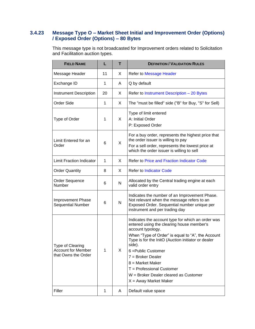### <span id="page-43-0"></span>**3.4.23 Message Type O – Market Sheet Initial and Improvement Order (Options) / Exposed Order (Options) – 80 Bytes**

This message type is not broadcasted for Improvement orders related to Solicitation and Facilitation auction types.

| <b>FIELD NAME</b>                                                    | L  | T            | <b>DEFINITION / VALIDATION RULES</b>                                                                                                                                                                                                                                                                                                                                                                             |
|----------------------------------------------------------------------|----|--------------|------------------------------------------------------------------------------------------------------------------------------------------------------------------------------------------------------------------------------------------------------------------------------------------------------------------------------------------------------------------------------------------------------------------|
| Message Header                                                       | 11 | X            | <b>Refer to Message Header</b>                                                                                                                                                                                                                                                                                                                                                                                   |
| Exchange ID                                                          | 1  | A            | Q by default                                                                                                                                                                                                                                                                                                                                                                                                     |
| <b>Instrument Description</b>                                        | 20 | X            | Refer to Instrument Description - 20 Bytes                                                                                                                                                                                                                                                                                                                                                                       |
| <b>Order Side</b>                                                    | 1  | X            | The "must be filled" side ("B" for Buy, "S" for Sell)                                                                                                                                                                                                                                                                                                                                                            |
| Type of Order                                                        | 1  | X            | Type of limit entered<br>A: Initial Order<br>P: Exposed Order                                                                                                                                                                                                                                                                                                                                                    |
| Limit Entered for an<br>Order                                        | 6  | X            | For a buy order, represents the highest price that<br>the order issuer is willing to pay<br>For a sell order, represents the lowest price at<br>which the order issuer is willing to sell                                                                                                                                                                                                                        |
| <b>Limit Fraction Indicator</b>                                      | 1  | X            | <b>Refer to Price and Fraction Indicator Code</b>                                                                                                                                                                                                                                                                                                                                                                |
| <b>Order Quantity</b>                                                | 8  | X            | <b>Refer to Indicator Code</b>                                                                                                                                                                                                                                                                                                                                                                                   |
| <b>Order Sequence</b><br>Number                                      | 6  | N            | Allocated by the Central trading engine at each<br>valid order entry                                                                                                                                                                                                                                                                                                                                             |
| Improvement Phase<br><b>Sequential Number</b>                        | 6  | $\mathsf{N}$ | Indicates the number of an Improvement Phase.<br>Not relevant when the message refers to an<br>Exposed Order. Sequential number unique per<br>instrument and per trading day                                                                                                                                                                                                                                     |
| Type of Clearing<br><b>Account for Member</b><br>that Owns the Order | 1  | X            | Indicates the account type for which an order was<br>entered using the clearing house member's<br>account typology.<br>When "Type of Order" is equal to "A", the Account<br>Type is for the InitO (Auction initiator or dealer<br>side).<br>6 = Public Customer<br>$7 = B$ roker Dealer<br>$8 =$ Market Maker<br>$T =$ Professional Customer<br>W = Broker Dealer cleared as Customer<br>$X =$ Away Market Maker |
| Filler                                                               | 1  | A            | Default value space                                                                                                                                                                                                                                                                                                                                                                                              |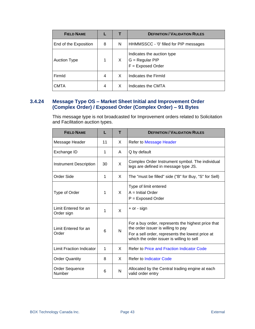| <b>FIELD NAME</b>     |   |   | <b>DEFINITION / VALIDATION RULES</b>                                 |
|-----------------------|---|---|----------------------------------------------------------------------|
| End of the Exposition | 8 | N | HHMMSSCC - '0' filled for PIP messages                               |
| <b>Auction Type</b>   |   | X | Indicates the auction type<br>G = Regular PIP<br>$F =$ Exposed Order |
| FirmId                | 4 | X | Indicates the FirmId                                                 |
| CMTA                  | 4 | X | Indicates the CMTA                                                   |

### <span id="page-44-0"></span>**3.4.24 Message Type OS – Market Sheet Initial and Improvement Order (Complex Order) / Exposed Order (Complex Order) – 91 Bytes**

This message type is not broadcasted for Improvement orders related to Solicitation and Facilitation auction types.

| <b>FIELD NAME</b>                  | L  | т            | <b>DEFINITION / VALIDATION RULES</b>                                                                                                                                                      |
|------------------------------------|----|--------------|-------------------------------------------------------------------------------------------------------------------------------------------------------------------------------------------|
| Message Header                     | 11 | X            | Refer to Message Header                                                                                                                                                                   |
| Exchange ID                        | 1  | A            | Q by default                                                                                                                                                                              |
| <b>Instrument Description</b>      | 30 | X            | Complex Order Instrument symbol. The individual<br>legs are defined in message type JS.                                                                                                   |
| Order Side                         | 1  | X            | The "must be filled" side ("B" for Buy, "S" for Sell)                                                                                                                                     |
| Type of Order                      | 1  | X            | Type of limit entered<br>$A =$ Initial Order<br>$P =$ Exposed Order                                                                                                                       |
| Limit Entered for an<br>Order sign | 1  | $\mathsf{X}$ | + or - sign                                                                                                                                                                               |
| Limit Entered for an<br>Order      | 6  | N            | For a buy order, represents the highest price that<br>the order issuer is willing to pay<br>For a sell order, represents the lowest price at<br>which the order issuer is willing to sell |
| <b>Limit Fraction Indicator</b>    | 1  | X            | <b>Refer to Price and Fraction Indicator Code</b>                                                                                                                                         |
| <b>Order Quantity</b>              | 8  | X            | <b>Refer to Indicator Code</b>                                                                                                                                                            |
| <b>Order Sequence</b><br>Number    | 6  | N            | Allocated by the Central trading engine at each<br>valid order entry                                                                                                                      |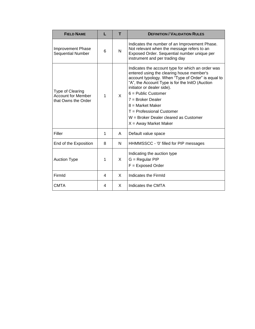| <b>FIELD NAME</b>                                                    | L | т | <b>DEFINITION / VALIDATION RULES</b>                                                                                                                                                                                                                                                                                                                                                                           |
|----------------------------------------------------------------------|---|---|----------------------------------------------------------------------------------------------------------------------------------------------------------------------------------------------------------------------------------------------------------------------------------------------------------------------------------------------------------------------------------------------------------------|
| <b>Improvement Phase</b><br><b>Sequential Number</b>                 | 6 | N | Indicates the number of an Improvement Phase.<br>Not relevant when the message refers to an<br>Exposed Order. Sequential number unique per<br>instrument and per trading day                                                                                                                                                                                                                                   |
| Type of Clearing<br><b>Account for Member</b><br>that Owns the Order | 1 | X | Indicates the account type for which an order was<br>entered using the clearing house member's<br>account typology. When "Type of Order" is equal to<br>"A", the Account Type is for the InitO (Auction<br>initiator or dealer side).<br>$6$ = Public Customer<br>$7 =$ Broker Dealer<br>$8 =$ Market Maker<br>$T =$ Professional Customer<br>W = Broker Dealer cleared as Customer<br>$X =$ Away Market Maker |
| Filler                                                               | 1 | A | Default value space                                                                                                                                                                                                                                                                                                                                                                                            |
| End of the Exposition                                                | 8 | N | HHMMSSCC - '0' filled for PIP messages                                                                                                                                                                                                                                                                                                                                                                         |
| <b>Auction Type</b>                                                  | 1 | X | Indicating the auction type<br>$G =$ Regular PIP<br>$F =$ Exposed Order                                                                                                                                                                                                                                                                                                                                        |
| FirmId                                                               | 4 | X | Indicates the FirmId                                                                                                                                                                                                                                                                                                                                                                                           |
| <b>CMTA</b>                                                          | 4 | X | Indicates the CMTA                                                                                                                                                                                                                                                                                                                                                                                             |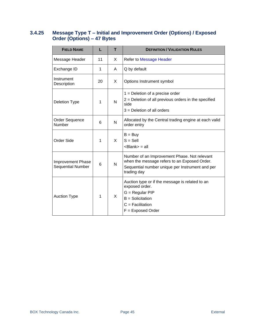### <span id="page-46-0"></span>**3.4.25 Message Type T – Initial and Improvement Order (Options) / Exposed Order (Options) – 47 Bytes**

| <b>FIELD NAME</b>                             | L  | т | <b>DEFINITION / VALIDATION RULES</b>                                                                                                                           |
|-----------------------------------------------|----|---|----------------------------------------------------------------------------------------------------------------------------------------------------------------|
| Message Header                                | 11 | X | <b>Refer to Message Header</b>                                                                                                                                 |
| Exchange ID                                   | 1  | A | Q by default                                                                                                                                                   |
| Instrument<br>Description                     | 20 | X | Options Instrument symbol                                                                                                                                      |
| <b>Deletion Type</b>                          | 1  | N | $1 =$ Deletion of a precise order<br>2 = Deletion of all previous orders in the specified<br>side<br>3 = Deletion of all orders                                |
| Order Sequence<br>Number                      | 6  | N | Allocated by the Central trading engine at each valid<br>order entry                                                                                           |
| <b>Order Side</b>                             | 1  | X | $B = Buy$<br>$S =$ Sell<br><blank> = all</blank>                                                                                                               |
| <b>Improvement Phase</b><br>Sequential Number | 6  | N | Number of an Improvement Phase. Not relevant<br>when the message refers to an Exposed Order.<br>Sequential number unique per Instrument and per<br>trading day |
| <b>Auction Type</b>                           | 1  | X | Auction type or if the message is related to an<br>exposed order.<br>G = Regular PIP<br>$B =$ Solicitation<br>$C =$ Facilitation<br>$F =$ Exposed Order        |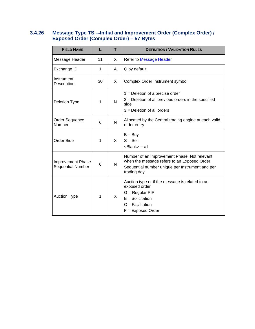### <span id="page-47-0"></span>**3.4.26 Message Type TS – Initial and Improvement Order (Complex Order) / Exposed Order (Complex Order) – 57 Bytes**

| <b>FIELD NAME</b>                                    | L  | т | <b>DEFINITION / VALIDATION RULES</b>                                                                                                                           |
|------------------------------------------------------|----|---|----------------------------------------------------------------------------------------------------------------------------------------------------------------|
| Message Header                                       | 11 | X | Refer to Message Header                                                                                                                                        |
| Exchange ID                                          | 1  | A | Q by default                                                                                                                                                   |
| Instrument<br>Description                            | 30 | X | Complex Order Instrument symbol                                                                                                                                |
| <b>Deletion Type</b>                                 | 1  | N | $1 =$ Deletion of a precise order<br>$2$ = Deletion of all previous orders in the specified<br>side<br>$3$ = Deletion of all orders                            |
| Order Sequence<br>Number                             | 6  | N | Allocated by the Central trading engine at each valid<br>order entry                                                                                           |
| <b>Order Side</b>                                    | 1  | X | $B = Buy$<br>$S =$ Sell<br><blank> = all</blank>                                                                                                               |
| <b>Improvement Phase</b><br><b>Sequential Number</b> | 6  | N | Number of an Improvement Phase. Not relevant<br>when the message refers to an Exposed Order.<br>Sequential number unique per Instrument and per<br>trading day |
| <b>Auction Type</b>                                  | 1  | X | Auction type or if the message is related to an<br>exposed order<br>$G = Regular PIP$<br>$B =$ Solicitation<br>$C =$ Facilitation<br>$F =$ Exposed Order       |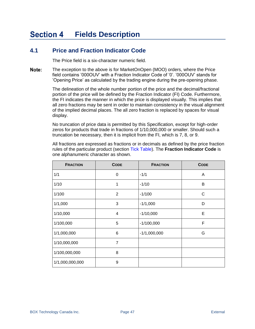#### <span id="page-48-0"></span>**Section 4 Fields Description**

## <span id="page-48-1"></span>**4.1 Price and Fraction Indicator Code**

The Price field is a six-character numeric field.

Note: The exception to the above is for MarketOnOpen (MOO) orders, where the Price field contains '000OUV' with a Fraction Indicator Code of '0'. '000OUV' stands for 'Opening Price' as calculated by the trading engine during the pre-opening phase.

> The delineation of the whole number portion of the price and the decimal/fractional portion of the price will be defined by the Fraction Indicator (FI) Code. Furthermore, the FI indicates the manner in which the price is displayed visually. This implies that all zero fractions may be sent in order to maintain consistency in the visual alignment of the implied decimal places. The all zero fraction is replaced by spaces for visual display.

No truncation of price data is permitted by this Specification, except for high-order zeros for products that trade in fractions of 1/10,000,000 or smaller. Should such a truncation be necessary, then it is implicit from the FI, which is 7, 8, or 9.

All fractions are expressed as fractions or in decimals as defined by the price fraction rules of the particular product (section [Tick Table\)](#page-49-2). The **Fraction Indicator Code** is one alphanumeric character as shown.

| <b>FRACTION</b> | <b>CODE</b>    | <b>FRACTION</b> | <b>CODE</b> |
|-----------------|----------------|-----------------|-------------|
| 1/1             | 0              | $-1/1$          | A           |
| 1/10            | 1              | $-1/10$         | B           |
| 1/100           | 2              | $-1/100$        | C           |
| 1/1,000         | 3              | $-1/1,000$      | D           |
| 1/10,000        | 4              | $-1/10,000$     | E           |
| 1/100,000       | 5              | $-1/100,000$    | F           |
| 1/1,000,000     | 6              | $-1/1,000,000$  | G           |
| 1/10,000,000    | $\overline{7}$ |                 |             |
| 1/100,000,000   | 8              |                 |             |
| 1/1,000,000,000 | 9              |                 |             |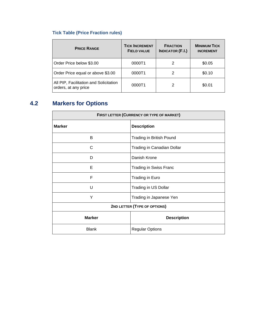# <span id="page-49-2"></span>**Tick Table (Price Fraction rules)**

| <b>PRICE RANGE</b>                                             | <b>TICK INCREMENT</b><br><b>FIELD VALUE</b> | <b>FRACTION</b><br><b>INDICATOR (F.I.)</b> | <b>MINIMUM TICK</b><br><b>INCREMENT</b> |
|----------------------------------------------------------------|---------------------------------------------|--------------------------------------------|-----------------------------------------|
| Order Price below \$3.00                                       | 0000T1                                      | 2                                          | \$0.05                                  |
| Order Price equal or above \$3.00                              | 0000T1                                      | 2                                          | \$0.10                                  |
| All PIP, Facilitation and Solicitation<br>orders, at any price | 0000T1                                      | 2                                          | \$0.01                                  |

# <span id="page-49-0"></span>**4.2 Markers for Options**

<span id="page-49-1"></span>

| FIRST LETTER (CURRENCY OR TYPE OF MARKET) |                               |  |
|-------------------------------------------|-------------------------------|--|
| <b>Marker</b><br><b>Description</b>       |                               |  |
| B                                         | Trading in British Pound      |  |
| C                                         | Trading in Canadian Dollar    |  |
| D                                         | Danish Krone                  |  |
| Е                                         | <b>Trading in Swiss Franc</b> |  |
| F                                         | Trading in Euro               |  |
| U                                         | Trading in US Dollar          |  |
| Υ                                         | Trading in Japanese Yen       |  |
| 2ND LETTER (TYPE OF OPTIONS)              |                               |  |
| <b>Marker</b><br><b>Description</b>       |                               |  |
| <b>Blank</b>                              | <b>Regular Options</b>        |  |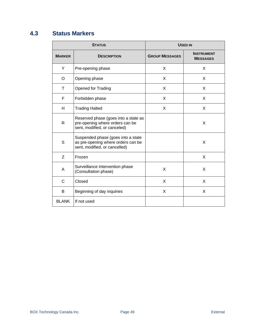# <span id="page-50-0"></span>**4.3 Status Markers**

<span id="page-50-1"></span>

| <b>STATUS</b> |                                                                                                           | <b>USED IN</b>        |                                      |  |
|---------------|-----------------------------------------------------------------------------------------------------------|-----------------------|--------------------------------------|--|
| <b>MARKER</b> | <b>DESCRIPTION</b>                                                                                        | <b>GROUP MESSAGES</b> | <b>INSTRUMENT</b><br><b>MESSAGES</b> |  |
| Y             | Pre-opening phase                                                                                         | X                     | X                                    |  |
| O             | Opening phase                                                                                             | X                     | X                                    |  |
| Т             | <b>Opened for Trading</b>                                                                                 | X                     | X                                    |  |
| F             | Forbidden phase                                                                                           | X                     | X                                    |  |
| H             | <b>Trading Halted</b>                                                                                     | X                     | X                                    |  |
| R             | Reserved phase (goes into a state as<br>pre-opening where orders can be<br>sent, modified, or canceled)   |                       | X                                    |  |
| S             | Suspended phase (goes into a state<br>as pre-opening where orders can be<br>sent, modified, or cancelled) |                       | X                                    |  |
| Z             | Frozen                                                                                                    |                       | X                                    |  |
| Α             | Surveillance Intervention phase<br>(Consultation phase)                                                   | X                     | X                                    |  |
| C             | Closed                                                                                                    | X                     | X                                    |  |
| B             | Beginning of day inquiries                                                                                | X                     | X                                    |  |
| <b>BLANK</b>  | If not used                                                                                               |                       |                                      |  |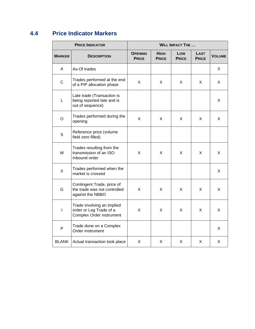# <span id="page-51-0"></span>**4.4 Price Indicator Markers**

<span id="page-51-1"></span>

| <b>PRICE INDICATOR</b> |                                                                                          | <b>WILL IMPACT THE </b>        |                             |                     |                             |               |
|------------------------|------------------------------------------------------------------------------------------|--------------------------------|-----------------------------|---------------------|-----------------------------|---------------|
| <b>MARKER</b>          | <b>DESCRIPTION</b>                                                                       | <b>OPENING</b><br><b>PRICE</b> | <b>HIGH</b><br><b>PRICE</b> | Low<br><b>PRICE</b> | <b>LAST</b><br><b>PRICE</b> | <b>VOLUME</b> |
| A                      | As-Of trades                                                                             |                                |                             |                     |                             | X             |
| $\mathsf{C}$           | Trades performed at the end<br>of a PIP allocation phase                                 | X                              | X                           | X                   | X                           | X             |
| L                      | Late trade (Transaction is<br>being reported late and is<br>out of sequence)             |                                |                             |                     |                             | X             |
| O                      | Trades performed during the<br>opening                                                   | X                              | X                           | X                   | X                           | X             |
| $\mathsf S$            | Reference price (volume<br>field zero filled)                                            |                                |                             |                     |                             |               |
| W                      | Trades resulting from the<br>transmission of an ISO<br>Inbound order                     | X                              | X                           | X                   | X                           | X             |
| X                      | Trades performed when the<br>market is crossed                                           |                                |                             |                     |                             | X             |
| G                      | Contingent Trade, price of<br>the trade was not controlled<br>against the NBBO           | X                              | X                           | X                   | X                           | X             |
| $\mathbf{I}$           | Trade involving an implied<br>order or Leg Trade of a<br><b>Complex Order instrument</b> | X                              | X                           | X                   | X                           | X             |
| $\mathsf{P}$           | Trade done on a Complex<br>Order Instrument                                              |                                |                             |                     |                             | X             |
| <b>BLANK</b>           | Actual transaction took place                                                            | X                              | X                           | X                   | X                           | X             |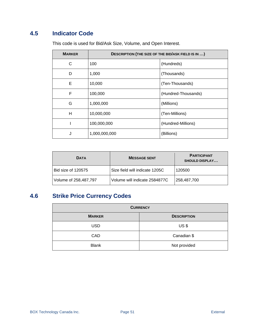# <span id="page-52-0"></span>**4.5 Indicator Code**

This code is used for Bid/Ask Size, Volume, and Open Interest.

| <b>MARKER</b> | <b>DESCRIPTION (THE SIZE OF THE BID/ASK FIELD IS IN )</b> |                     |  |
|---------------|-----------------------------------------------------------|---------------------|--|
| C             | 100                                                       | (Hundreds)          |  |
| D             | 1,000                                                     | (Thousands)         |  |
| Е             | 10,000                                                    | (Ten-Thousands)     |  |
| F             | 100,000                                                   | (Hundred-Thousands) |  |
| G             | 1,000,000                                                 | (Millions)          |  |
| H             | 10,000,000                                                | (Ten-Millions)      |  |
|               | 100,000,000                                               | (Hundred-Millions)  |  |
| J             | 1,000,000,000                                             | (Billions)          |  |

| <b>DATA</b>           | <b>MESSAGE SENT</b>            | <b>PARTICIPANT</b><br><b>SHOULD DISPLAY</b> |
|-----------------------|--------------------------------|---------------------------------------------|
| Bid size of 120575    | Size field will indicate 1205C | 120500                                      |
| Volume of 258,487,797 | Volume will indicate 2584877C  | 258,487,700                                 |

# <span id="page-52-1"></span>**4.6 Strike Price Currency Codes**

| <b>CURRENCY</b> |                    |  |  |
|-----------------|--------------------|--|--|
| <b>MARKER</b>   | <b>DESCRIPTION</b> |  |  |
| <b>USD</b>      | $US$ \$            |  |  |
| CAD             | Canadian \$        |  |  |
| <b>Blank</b>    | Not provided       |  |  |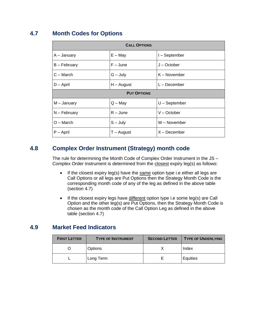# <span id="page-53-0"></span>**4.7 Month Codes for Options**

| <b>CALL OPTIONS</b> |                    |                 |  |  |
|---------------------|--------------------|-----------------|--|--|
| A – January         | $E - May$          | I-September     |  |  |
| B – February        | $F - June$         | J – October     |  |  |
| $C - March$         | $G - July$         | K – November    |  |  |
| $D -$ April         | $H - August$       | L – December    |  |  |
|                     | <b>PUT OPTIONS</b> |                 |  |  |
| $M -$ January       | $Q - May$          | $U - September$ |  |  |
| $N - February$      | $R - June$         | V – October     |  |  |
| $O - March$         | $S - July$         | W - November    |  |  |
| $P - April$         | T – August         | $X - December$  |  |  |

# <span id="page-53-1"></span>**4.8 Complex Order Instrument (Strategy) month code**

The rule for determining the Month Code of Complex Order Instrument in the JS – Complex Order Instrument is determined from the closest expiry leg(s) as follows:

- If the closest expiry  $leg(s)$  have the same option type i.e either all legs are Call Options or all legs are Put Options then the Strategy Month Code is the corresponding month code of any of the leg as defined in the above table (section [4.7\)](#page-53-0)
- If the closest expiry legs have different option type i.e some leg(s) are Call Option and the other leg(s) are Put Options, then the Strategy Month Code is chosen as the month code of the Call Option Leg as defined in the above table (section [4.7\)](#page-53-0)

## <span id="page-53-2"></span>**4.9 Market Feed Indicators**

| <b>FIRST LETTER</b> | <b>TYPE OF INSTRUMENT</b> | <b>SECOND LETTER</b> | <b>TYPE OF UNDERLYING</b> |
|---------------------|---------------------------|----------------------|---------------------------|
|                     | <b>Options</b>            |                      | Index                     |
|                     | Long Term                 |                      | Equities                  |